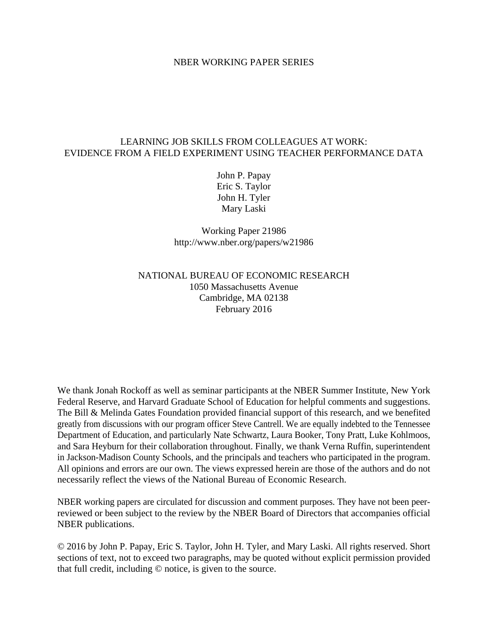#### NBER WORKING PAPER SERIES

## LEARNING JOB SKILLS FROM COLLEAGUES AT WORK: EVIDENCE FROM A FIELD EXPERIMENT USING TEACHER PERFORMANCE DATA

John P. Papay Eric S. Taylor John H. Tyler Mary Laski

Working Paper 21986 http://www.nber.org/papers/w21986

# NATIONAL BUREAU OF ECONOMIC RESEARCH 1050 Massachusetts Avenue Cambridge, MA 02138 February 2016

We thank Jonah Rockoff as well as seminar participants at the NBER Summer Institute, New York Federal Reserve, and Harvard Graduate School of Education for helpful comments and suggestions. The Bill & Melinda Gates Foundation provided financial support of this research, and we benefited greatly from discussions with our program officer Steve Cantrell. We are equally indebted to the Tennessee Department of Education, and particularly Nate Schwartz, Laura Booker, Tony Pratt, Luke Kohlmoos, and Sara Heyburn for their collaboration throughout. Finally, we thank Verna Ruffin, superintendent in Jackson-Madison County Schools, and the principals and teachers who participated in the program. All opinions and errors are our own. The views expressed herein are those of the authors and do not necessarily reflect the views of the National Bureau of Economic Research.

NBER working papers are circulated for discussion and comment purposes. They have not been peerreviewed or been subject to the review by the NBER Board of Directors that accompanies official NBER publications.

© 2016 by John P. Papay, Eric S. Taylor, John H. Tyler, and Mary Laski. All rights reserved. Short sections of text, not to exceed two paragraphs, may be quoted without explicit permission provided that full credit, including © notice, is given to the source.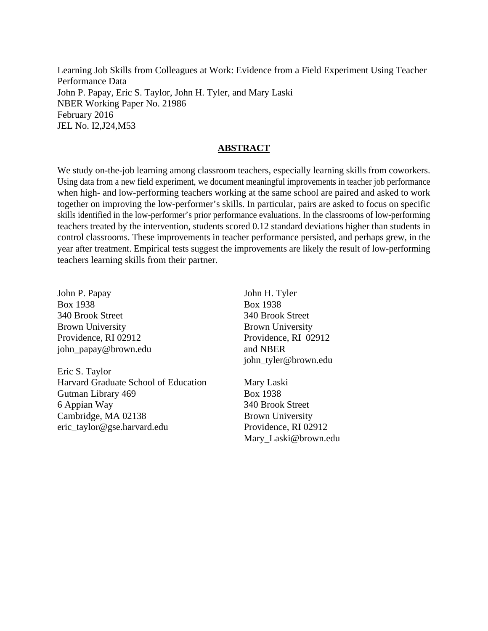Learning Job Skills from Colleagues at Work: Evidence from a Field Experiment Using Teacher Performance Data John P. Papay, Eric S. Taylor, John H. Tyler, and Mary Laski NBER Working Paper No. 21986 February 2016 JEL No. I2,J24,M53

## **ABSTRACT**

We study on-the-job learning among classroom teachers, especially learning skills from coworkers. Using data from a new field experiment, we document meaningful improvements in teacher job performance when high- and low-performing teachers working at the same school are paired and asked to work together on improving the low-performer's skills. In particular, pairs are asked to focus on specific skills identified in the low-performer's prior performance evaluations. In the classrooms of low-performing teachers treated by the intervention, students scored 0.12 standard deviations higher than students in control classrooms. These improvements in teacher performance persisted, and perhaps grew, in the year after treatment. Empirical tests suggest the improvements are likely the result of low-performing teachers learning skills from their partner.

John P. Papay Box 1938 340 Brook Street Brown University Providence, RI 02912 john\_papay@brown.edu

Eric S. Taylor Harvard Graduate School of Education Gutman Library 469 6 Appian Way Cambridge, MA 02138 eric\_taylor@gse.harvard.edu

John H. Tyler Box 1938 340 Brook Street Brown University Providence, RI 02912 and NBER john\_tyler@brown.edu

Mary Laski Box 1938 340 Brook Street Brown University Providence, RI 02912 Mary\_Laski@brown.edu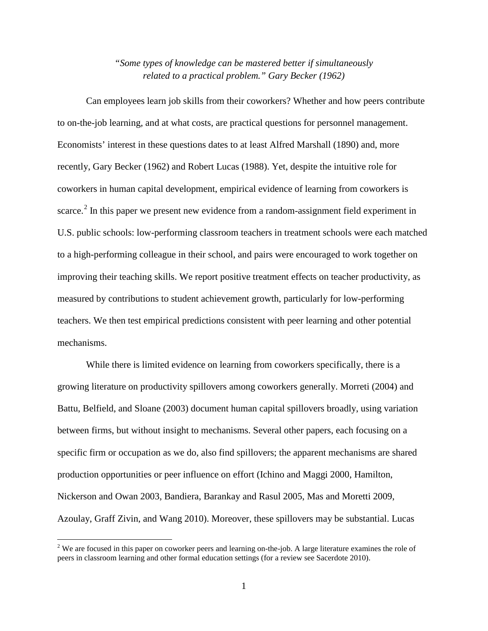# *"Some types of knowledge can be mastered better if simultaneously related to a practical problem." Gary Becker (1962)*

Can employees learn job skills from their coworkers? Whether and how peers contribute to on-the-job learning, and at what costs, are practical questions for personnel management. Economists' interest in these questions dates to at least Alfred Marshall (1890) and, more recently, Gary Becker (1962) and Robert Lucas (1988). Yet, despite the intuitive role for coworkers in human capital development, empirical evidence of learning from coworkers is scarce.<sup>[2](#page-2-0)</sup> In this paper we present new evidence from a random-assignment field experiment in U.S. public schools: low-performing classroom teachers in treatment schools were each matched to a high-performing colleague in their school, and pairs were encouraged to work together on improving their teaching skills. We report positive treatment effects on teacher productivity, as measured by contributions to student achievement growth, particularly for low-performing teachers. We then test empirical predictions consistent with peer learning and other potential mechanisms.

While there is limited evidence on learning from coworkers specifically, there is a growing literature on productivity spillovers among coworkers generally. Morreti (2004) and Battu, Belfield, and Sloane (2003) document human capital spillovers broadly, using variation between firms, but without insight to mechanisms. Several other papers, each focusing on a specific firm or occupation as we do, also find spillovers; the apparent mechanisms are shared production opportunities or peer influence on effort (Ichino and Maggi 2000, Hamilton, Nickerson and Owan 2003, Bandiera, Barankay and Rasul 2005, Mas and Moretti 2009, Azoulay, Graff Zivin, and Wang 2010). Moreover, these spillovers may be substantial. Lucas

<span id="page-2-0"></span><sup>&</sup>lt;sup>2</sup> We are focused in this paper on coworker peers and learning on-the-job. A large literature examines the role of peers in classroom learning and other formal education settings (for a review see Sacerdote 2010).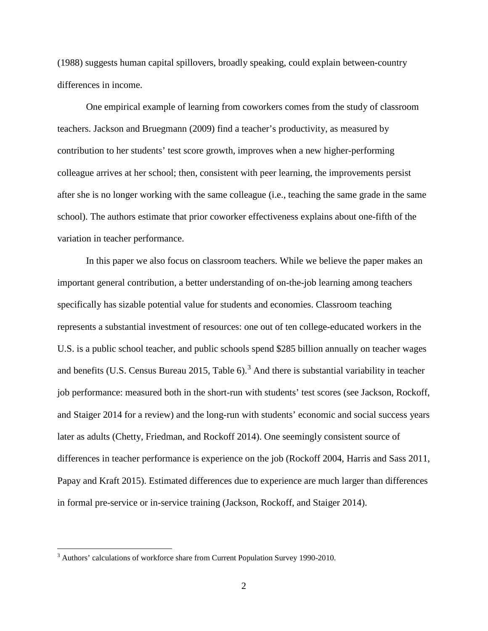(1988) suggests human capital spillovers, broadly speaking, could explain between-country differences in income.

One empirical example of learning from coworkers comes from the study of classroom teachers. Jackson and Bruegmann (2009) find a teacher's productivity, as measured by contribution to her students' test score growth, improves when a new higher-performing colleague arrives at her school; then, consistent with peer learning, the improvements persist after she is no longer working with the same colleague (i.e., teaching the same grade in the same school). The authors estimate that prior coworker effectiveness explains about one-fifth of the variation in teacher performance.

In this paper we also focus on classroom teachers. While we believe the paper makes an important general contribution, a better understanding of on-the-job learning among teachers specifically has sizable potential value for students and economies. Classroom teaching represents a substantial investment of resources: one out of ten college-educated workers in the U.S. is a public school teacher, and public schools spend \$285 billion annually on teacher wages and benefits (U.S. Census Bureau 2015, Table 6).<sup>[3](#page-3-0)</sup> And there is substantial variability in teacher job performance: measured both in the short-run with students' test scores (see Jackson, Rockoff, and Staiger 2014 for a review) and the long-run with students' economic and social success years later as adults (Chetty, Friedman, and Rockoff 2014). One seemingly consistent source of differences in teacher performance is experience on the job (Rockoff 2004, Harris and Sass 2011, Papay and Kraft 2015). Estimated differences due to experience are much larger than differences in formal pre-service or in-service training (Jackson, Rockoff, and Staiger 2014).

<span id="page-3-0"></span> $3$  Authors' calculations of workforce share from Current Population Survey 1990-2010.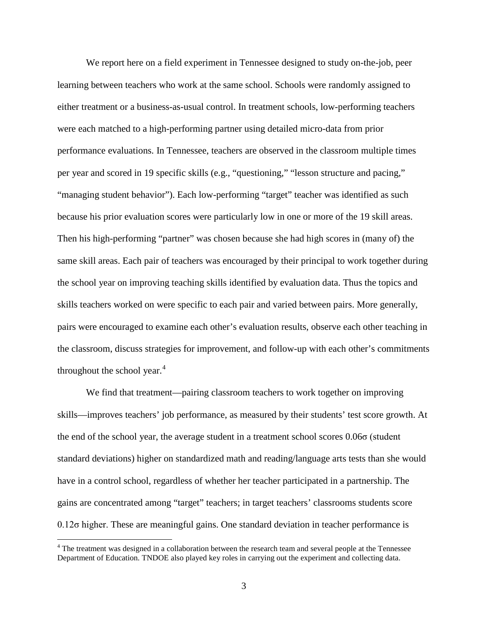We report here on a field experiment in Tennessee designed to study on-the-job, peer learning between teachers who work at the same school. Schools were randomly assigned to either treatment or a business-as-usual control. In treatment schools, low-performing teachers were each matched to a high-performing partner using detailed micro-data from prior performance evaluations. In Tennessee, teachers are observed in the classroom multiple times per year and scored in 19 specific skills (e.g., "questioning," "lesson structure and pacing," "managing student behavior"). Each low-performing "target" teacher was identified as such because his prior evaluation scores were particularly low in one or more of the 19 skill areas. Then his high-performing "partner" was chosen because she had high scores in (many of) the same skill areas. Each pair of teachers was encouraged by their principal to work together during the school year on improving teaching skills identified by evaluation data. Thus the topics and skills teachers worked on were specific to each pair and varied between pairs. More generally, pairs were encouraged to examine each other's evaluation results, observe each other teaching in the classroom, discuss strategies for improvement, and follow-up with each other's commitments throughout the school year. $4$ 

We find that treatment—pairing classroom teachers to work together on improving skills—improves teachers' job performance, as measured by their students' test score growth. At the end of the school year, the average student in a treatment school scores 0.06σ (student standard deviations) higher on standardized math and reading/language arts tests than she would have in a control school, regardless of whether her teacher participated in a partnership. The gains are concentrated among "target" teachers; in target teachers' classrooms students score 0.12σ higher. These are meaningful gains. One standard deviation in teacher performance is

<span id="page-4-0"></span><sup>&</sup>lt;sup>4</sup> The treatment was designed in a collaboration between the research team and several people at the Tennessee Department of Education. TNDOE also played key roles in carrying out the experiment and collecting data.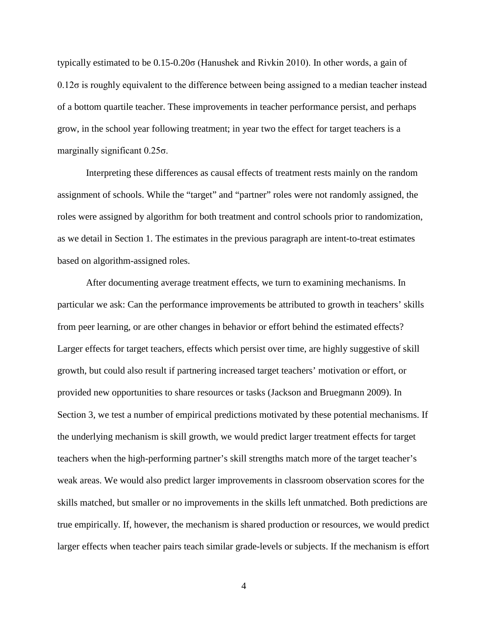typically estimated to be 0.15-0.20σ (Hanushek and Rivkin 2010). In other words, a gain of 0.12σ is roughly equivalent to the difference between being assigned to a median teacher instead of a bottom quartile teacher. These improvements in teacher performance persist, and perhaps grow, in the school year following treatment; in year two the effect for target teachers is a marginally significant 0.25σ.

Interpreting these differences as causal effects of treatment rests mainly on the random assignment of schools. While the "target" and "partner" roles were not randomly assigned, the roles were assigned by algorithm for both treatment and control schools prior to randomization, as we detail in Section 1. The estimates in the previous paragraph are intent-to-treat estimates based on algorithm-assigned roles.

After documenting average treatment effects, we turn to examining mechanisms. In particular we ask: Can the performance improvements be attributed to growth in teachers' skills from peer learning, or are other changes in behavior or effort behind the estimated effects? Larger effects for target teachers, effects which persist over time, are highly suggestive of skill growth, but could also result if partnering increased target teachers' motivation or effort, or provided new opportunities to share resources or tasks (Jackson and Bruegmann 2009). In Section 3, we test a number of empirical predictions motivated by these potential mechanisms. If the underlying mechanism is skill growth, we would predict larger treatment effects for target teachers when the high-performing partner's skill strengths match more of the target teacher's weak areas. We would also predict larger improvements in classroom observation scores for the skills matched, but smaller or no improvements in the skills left unmatched. Both predictions are true empirically. If, however, the mechanism is shared production or resources, we would predict larger effects when teacher pairs teach similar grade-levels or subjects. If the mechanism is effort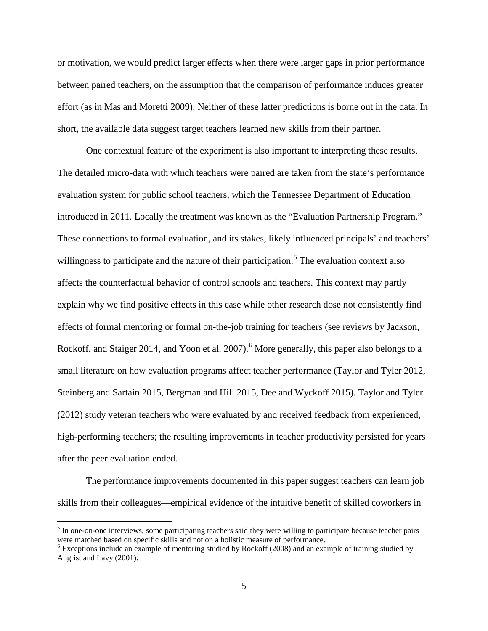or motivation, we would predict larger effects when there were larger gaps in prior performance between paired teachers, on the assumption that the comparison of performance induces greater effort (as in Mas and Moretti 2009). Neither of these latter predictions is borne out in the data. In short, the available data suggest target teachers learned new skills from their partner.

One contextual feature of the experiment is also important to interpreting these results. The detailed micro-data with which teachers were paired are taken from the state's performance evaluation system for public school teachers, which the Tennessee Department of Education introduced in 2011. Locally the treatment was known as the "Evaluation Partnership Program." These connections to formal evaluation, and its stakes, likely influenced principals' and teachers' willingness to participate and the nature of their participation.<sup>[5](#page-6-0)</sup> The evaluation context also affects the counterfactual behavior of control schools and teachers. This context may partly explain why we find positive effects in this case while other research dose not consistently find effects of formal mentoring or formal on-the-job training for teachers (see reviews by Jackson, Rockoff, and Staiger 2014, and Yoon et al. 2007).<sup>[6](#page-6-1)</sup> More generally, this paper also belongs to a small literature on how evaluation programs affect teacher performance (Taylor and Tyler 2012, Steinberg and Sartain 2015, Bergman and Hill 2015, Dee and Wyckoff 2015). Taylor and Tyler (2012) study veteran teachers who were evaluated by and received feedback from experienced, high-performing teachers; the resulting improvements in teacher productivity persisted for years after the peer evaluation ended.

The performance improvements documented in this paper suggest teachers can learn job skills from their colleagues—empirical evidence of the intuitive benefit of skilled coworkers in

<span id="page-6-0"></span><sup>&</sup>lt;sup>5</sup> In one-on-one interviews, some participating teachers said they were willing to participate because teacher pairs were matched based on specific skills and not on a holistic measure of performance.

<span id="page-6-1"></span><sup>&</sup>lt;sup>6</sup> Exceptions include an example of mentoring studied by Rockoff (2008) and an example of training studied by Angrist and Lavy (2001).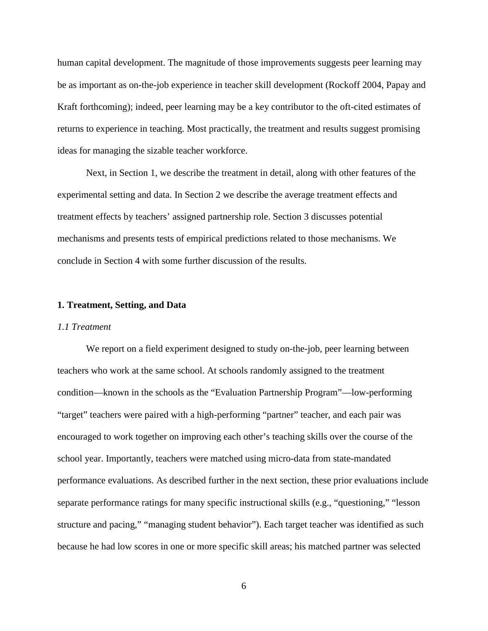human capital development. The magnitude of those improvements suggests peer learning may be as important as on-the-job experience in teacher skill development (Rockoff 2004, Papay and Kraft forthcoming); indeed, peer learning may be a key contributor to the oft-cited estimates of returns to experience in teaching. Most practically, the treatment and results suggest promising ideas for managing the sizable teacher workforce.

 Next, in Section 1, we describe the treatment in detail, along with other features of the experimental setting and data. In Section 2 we describe the average treatment effects and treatment effects by teachers' assigned partnership role. Section 3 discusses potential mechanisms and presents tests of empirical predictions related to those mechanisms. We conclude in Section 4 with some further discussion of the results.

#### **1. Treatment, Setting, and Data**

#### *1.1 Treatment*

We report on a field experiment designed to study on-the-job, peer learning between teachers who work at the same school. At schools randomly assigned to the treatment condition—known in the schools as the "Evaluation Partnership Program"—low-performing "target" teachers were paired with a high-performing "partner" teacher, and each pair was encouraged to work together on improving each other's teaching skills over the course of the school year. Importantly, teachers were matched using micro-data from state-mandated performance evaluations. As described further in the next section, these prior evaluations include separate performance ratings for many specific instructional skills (e.g., "questioning," "lesson structure and pacing," "managing student behavior"). Each target teacher was identified as such because he had low scores in one or more specific skill areas; his matched partner was selected

6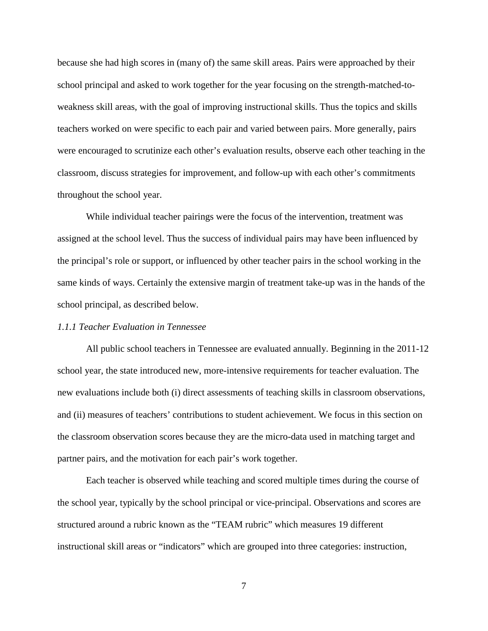because she had high scores in (many of) the same skill areas. Pairs were approached by their school principal and asked to work together for the year focusing on the strength-matched-toweakness skill areas, with the goal of improving instructional skills. Thus the topics and skills teachers worked on were specific to each pair and varied between pairs. More generally, pairs were encouraged to scrutinize each other's evaluation results, observe each other teaching in the classroom, discuss strategies for improvement, and follow-up with each other's commitments throughout the school year.

While individual teacher pairings were the focus of the intervention, treatment was assigned at the school level. Thus the success of individual pairs may have been influenced by the principal's role or support, or influenced by other teacher pairs in the school working in the same kinds of ways. Certainly the extensive margin of treatment take-up was in the hands of the school principal, as described below.

### *1.1.1 Teacher Evaluation in Tennessee*

 All public school teachers in Tennessee are evaluated annually. Beginning in the 2011-12 school year, the state introduced new, more-intensive requirements for teacher evaluation. The new evaluations include both (i) direct assessments of teaching skills in classroom observations, and (ii) measures of teachers' contributions to student achievement. We focus in this section on the classroom observation scores because they are the micro-data used in matching target and partner pairs, and the motivation for each pair's work together.

Each teacher is observed while teaching and scored multiple times during the course of the school year, typically by the school principal or vice-principal. Observations and scores are structured around a rubric known as the "TEAM rubric" which measures 19 different instructional skill areas or "indicators" which are grouped into three categories: instruction,

7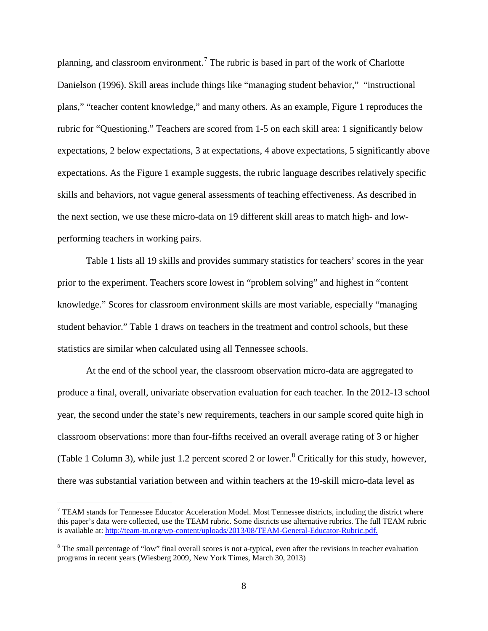planning, and classroom environment.<sup>[7](#page-9-0)</sup> The rubric is based in part of the work of Charlotte Danielson (1996). Skill areas include things like "managing student behavior," "instructional plans," "teacher content knowledge," and many others. As an example, Figure 1 reproduces the rubric for "Questioning." Teachers are scored from 1-5 on each skill area: 1 significantly below expectations, 2 below expectations, 3 at expectations, 4 above expectations, 5 significantly above expectations. As the Figure 1 example suggests, the rubric language describes relatively specific skills and behaviors, not vague general assessments of teaching effectiveness. As described in the next section, we use these micro-data on 19 different skill areas to match high- and lowperforming teachers in working pairs.

Table 1 lists all 19 skills and provides summary statistics for teachers' scores in the year prior to the experiment. Teachers score lowest in "problem solving" and highest in "content knowledge." Scores for classroom environment skills are most variable, especially "managing student behavior." Table 1 draws on teachers in the treatment and control schools, but these statistics are similar when calculated using all Tennessee schools.

At the end of the school year, the classroom observation micro-data are aggregated to produce a final, overall, univariate observation evaluation for each teacher. In the 2012-13 school year, the second under the state's new requirements, teachers in our sample scored quite high in classroom observations: more than four-fifths received an overall average rating of 3 or higher (Table 1 Column 3), while just 1.2 percent scored 2 or lower. $8$  Critically for this study, however, there was substantial variation between and within teachers at the 19-skill micro-data level as

<span id="page-9-0"></span> $7$  TEAM stands for Tennessee Educator Acceleration Model. Most Tennessee districts, including the district where this paper's data were collected, use the TEAM rubric. Some districts use alternative rubrics. The full TEAM rubric is available at: [http://team-tn.org/wp-content/uploads/2013/08/TEAM-General-Educator-Rubric.pdf.](http://team-tn.org/wp-content/uploads/2013/08/TEAM-General-Educator-Rubric.pdf)

<span id="page-9-1"></span><sup>&</sup>lt;sup>8</sup> The small percentage of "low" final overall scores is not a-typical, even after the revisions in teacher evaluation programs in recent years (Wiesberg 2009, New York Times, March 30, 2013)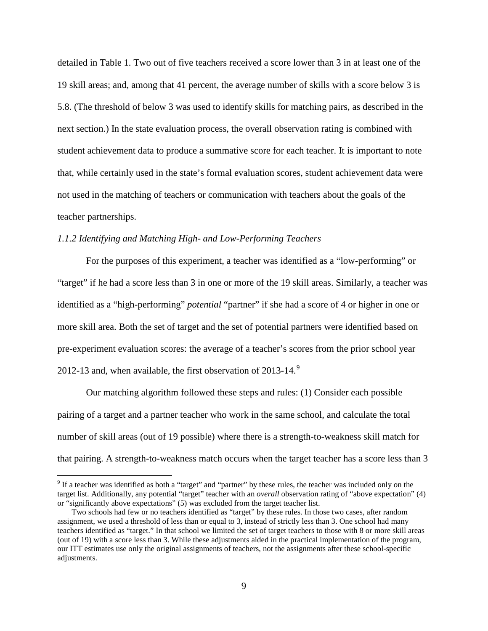detailed in Table 1. Two out of five teachers received a score lower than 3 in at least one of the 19 skill areas; and, among that 41 percent, the average number of skills with a score below 3 is 5.8. (The threshold of below 3 was used to identify skills for matching pairs, as described in the next section.) In the state evaluation process, the overall observation rating is combined with student achievement data to produce a summative score for each teacher. It is important to note that, while certainly used in the state's formal evaluation scores, student achievement data were not used in the matching of teachers or communication with teachers about the goals of the teacher partnerships.

### *1.1.2 Identifying and Matching High- and Low-Performing Teachers*

 $\overline{a}$ 

 For the purposes of this experiment, a teacher was identified as a "low-performing" or "target" if he had a score less than 3 in one or more of the 19 skill areas. Similarly, a teacher was identified as a "high-performing" *potential* "partner" if she had a score of 4 or higher in one or more skill area. Both the set of target and the set of potential partners were identified based on pre-experiment evaluation scores: the average of a teacher's scores from the prior school year 2012-13 and, when available, the first observation of 2013-14.<sup>[9](#page-10-0)</sup>

Our matching algorithm followed these steps and rules: (1) Consider each possible pairing of a target and a partner teacher who work in the same school, and calculate the total number of skill areas (out of 19 possible) where there is a strength-to-weakness skill match for that pairing. A strength-to-weakness match occurs when the target teacher has a score less than 3

<span id="page-10-0"></span> $9$  If a teacher was identified as both a "target" and "partner" by these rules, the teacher was included only on the target list. Additionally, any potential "target" teacher with an *overall* observation rating of "above expectation" (4) or "significantly above expectations" (5) was excluded from the target teacher list.

Two schools had few or no teachers identified as "target" by these rules. In those two cases, after random assignment, we used a threshold of less than or equal to 3, instead of strictly less than 3. One school had many teachers identified as "target." In that school we limited the set of target teachers to those with 8 or more skill areas (out of 19) with a score less than 3. While these adjustments aided in the practical implementation of the program, our ITT estimates use only the original assignments of teachers, not the assignments after these school-specific adjustments.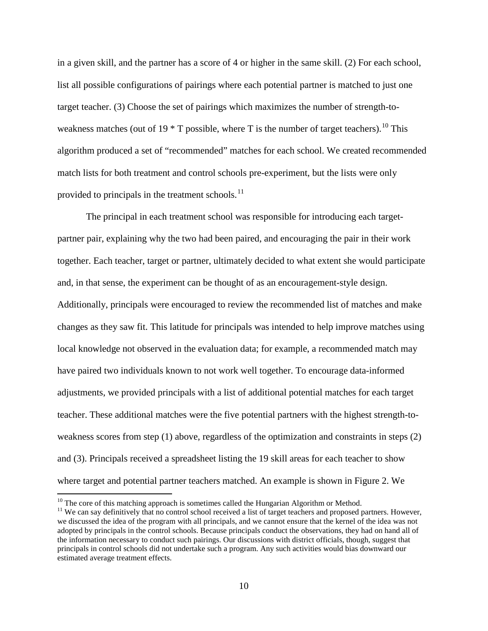in a given skill, and the partner has a score of 4 or higher in the same skill. (2) For each school, list all possible configurations of pairings where each potential partner is matched to just one target teacher. (3) Choose the set of pairings which maximizes the number of strength-toweakness matches (out of 19  $*$  T possible, where T is the number of target teachers).<sup>[10](#page-11-0)</sup> This algorithm produced a set of "recommended" matches for each school. We created recommended match lists for both treatment and control schools pre-experiment, but the lists were only provided to principals in the treatment schools. $^{11}$  $^{11}$  $^{11}$ 

 The principal in each treatment school was responsible for introducing each targetpartner pair, explaining why the two had been paired, and encouraging the pair in their work together. Each teacher, target or partner, ultimately decided to what extent she would participate and, in that sense, the experiment can be thought of as an encouragement-style design. Additionally, principals were encouraged to review the recommended list of matches and make changes as they saw fit. This latitude for principals was intended to help improve matches using local knowledge not observed in the evaluation data; for example, a recommended match may have paired two individuals known to not work well together. To encourage data-informed adjustments, we provided principals with a list of additional potential matches for each target teacher. These additional matches were the five potential partners with the highest strength-toweakness scores from step (1) above, regardless of the optimization and constraints in steps (2) and (3). Principals received a spreadsheet listing the 19 skill areas for each teacher to show where target and potential partner teachers matched. An example is shown in Figure 2. We

<span id="page-11-1"></span><span id="page-11-0"></span><sup>&</sup>lt;sup>10</sup> The core of this matching approach is sometimes called the Hungarian Algorithm or Method.<br><sup>11</sup> We can say definitively that no control school received a list of target teachers and proposed partners. However, we discussed the idea of the program with all principals, and we cannot ensure that the kernel of the idea was not adopted by principals in the control schools. Because principals conduct the observations, they had on hand all of the information necessary to conduct such pairings. Our discussions with district officials, though, suggest that principals in control schools did not undertake such a program. Any such activities would bias downward our estimated average treatment effects.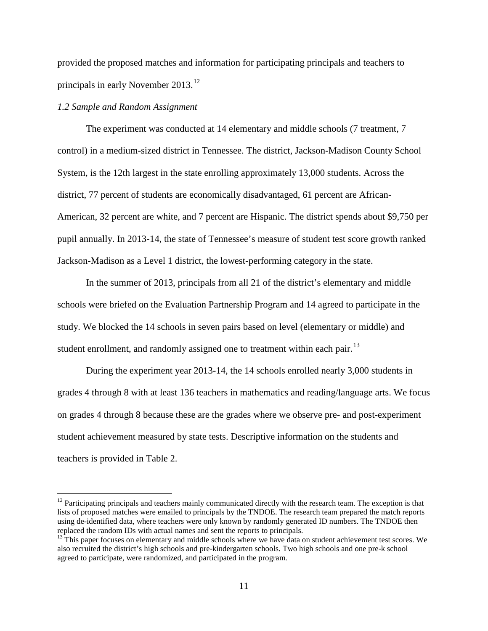provided the proposed matches and information for participating principals and teachers to principals in early November 2013.<sup>[12](#page-12-0)</sup>

### *1.2 Sample and Random Assignment*

 $\overline{a}$ 

The experiment was conducted at 14 elementary and middle schools (7 treatment, 7 control) in a medium-sized district in Tennessee. The district, Jackson-Madison County School System, is the 12th largest in the state enrolling approximately 13,000 students. Across the district, 77 percent of students are economically disadvantaged, 61 percent are African-American, 32 percent are white, and 7 percent are Hispanic. The district spends about \$9,750 per pupil annually. In 2013-14, the state of Tennessee's measure of student test score growth ranked Jackson-Madison as a Level 1 district, the lowest-performing category in the state.

 In the summer of 2013, principals from all 21 of the district's elementary and middle schools were briefed on the Evaluation Partnership Program and 14 agreed to participate in the study. We blocked the 14 schools in seven pairs based on level (elementary or middle) and student enrollment, and randomly assigned one to treatment within each pair.<sup>[13](#page-12-1)</sup>

 During the experiment year 2013-14, the 14 schools enrolled nearly 3,000 students in grades 4 through 8 with at least 136 teachers in mathematics and reading/language arts. We focus on grades 4 through 8 because these are the grades where we observe pre- and post-experiment student achievement measured by state tests. Descriptive information on the students and teachers is provided in Table 2.

<span id="page-12-0"></span> $12$  Participating principals and teachers mainly communicated directly with the research team. The exception is that lists of proposed matches were emailed to principals by the TNDOE. The research team prepared the match reports using de-identified data, where teachers were only known by randomly generated ID numbers. The TNDOE then replaced the random IDs with actual names and sent the reports to principals.

<span id="page-12-1"></span><sup>&</sup>lt;sup>13</sup> This paper focuses on elementary and middle schools where we have data on student achievement test scores. We also recruited the district's high schools and pre-kindergarten schools. Two high schools and one pre-k school agreed to participate, were randomized, and participated in the program.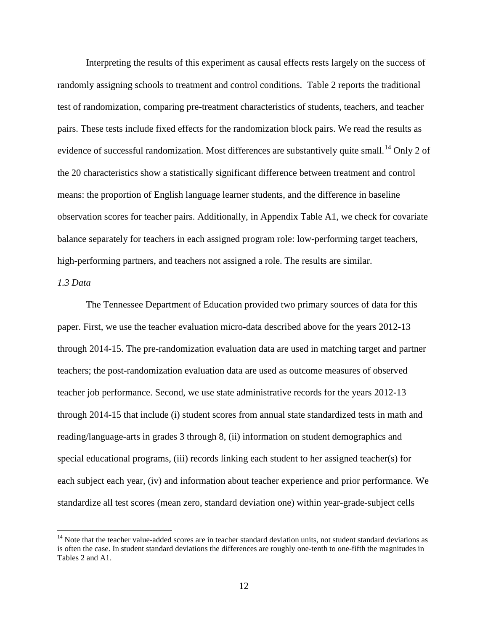Interpreting the results of this experiment as causal effects rests largely on the success of randomly assigning schools to treatment and control conditions. Table 2 reports the traditional test of randomization, comparing pre-treatment characteristics of students, teachers, and teacher pairs. These tests include fixed effects for the randomization block pairs. We read the results as evidence of successful randomization. Most differences are substantively quite small.<sup>14</sup> Only 2 of the 20 characteristics show a statistically significant difference between treatment and control means: the proportion of English language learner students, and the difference in baseline observation scores for teacher pairs. Additionally, in Appendix Table A1, we check for covariate balance separately for teachers in each assigned program role: low-performing target teachers, high-performing partners, and teachers not assigned a role. The results are similar.

## *1.3 Data*

 $\overline{a}$ 

The Tennessee Department of Education provided two primary sources of data for this paper. First, we use the teacher evaluation micro-data described above for the years 2012-13 through 2014-15. The pre-randomization evaluation data are used in matching target and partner teachers; the post-randomization evaluation data are used as outcome measures of observed teacher job performance. Second, we use state administrative records for the years 2012-13 through 2014-15 that include (i) student scores from annual state standardized tests in math and reading/language-arts in grades 3 through 8, (ii) information on student demographics and special educational programs, (iii) records linking each student to her assigned teacher(s) for each subject each year, (iv) and information about teacher experience and prior performance. We standardize all test scores (mean zero, standard deviation one) within year-grade-subject cells

<span id="page-13-0"></span><sup>&</sup>lt;sup>14</sup> Note that the teacher value-added scores are in teacher standard deviation units, not student standard deviations as is often the case. In student standard deviations the differences are roughly one-tenth to one-fifth the magnitudes in Tables 2 and A1.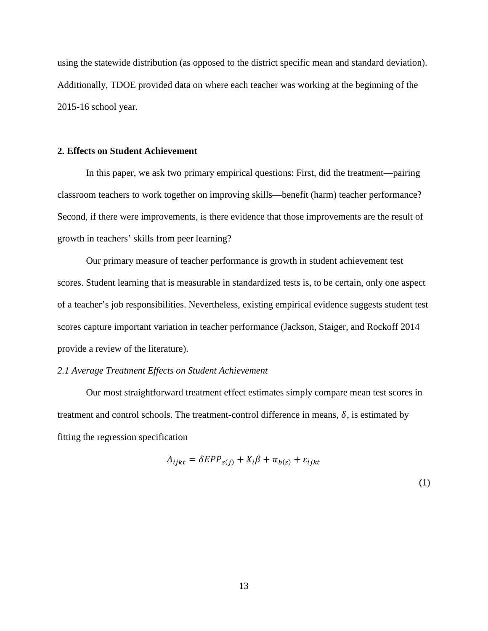using the statewide distribution (as opposed to the district specific mean and standard deviation). Additionally, TDOE provided data on where each teacher was working at the beginning of the 2015-16 school year.

### **2. Effects on Student Achievement**

In this paper, we ask two primary empirical questions: First, did the treatment—pairing classroom teachers to work together on improving skills—benefit (harm) teacher performance? Second, if there were improvements, is there evidence that those improvements are the result of growth in teachers' skills from peer learning?

Our primary measure of teacher performance is growth in student achievement test scores. Student learning that is measurable in standardized tests is, to be certain, only one aspect of a teacher's job responsibilities. Nevertheless, existing empirical evidence suggests student test scores capture important variation in teacher performance (Jackson, Staiger, and Rockoff 2014 provide a review of the literature).

#### *2.1 Average Treatment Effects on Student Achievement*

Our most straightforward treatment effect estimates simply compare mean test scores in treatment and control schools. The treatment-control difference in means,  $\delta$ , is estimated by fitting the regression specification

$$
A_{ijkt} = \delta EPP_{s(j)} + X_i\beta + \pi_{b(s)} + \varepsilon_{ijkt}
$$
\n(1)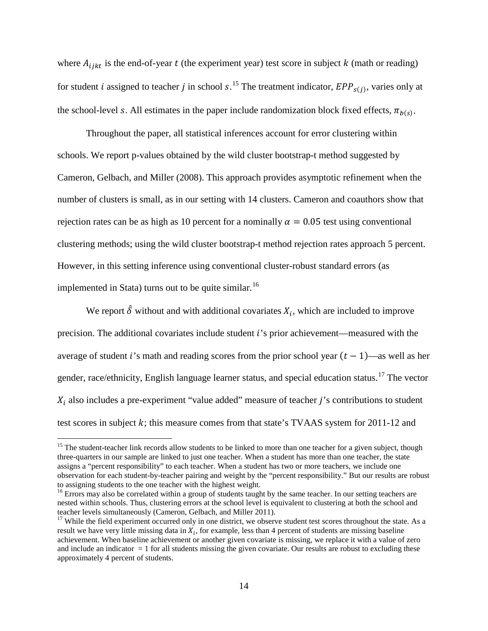where  $A_{i j k t}$  is the end-of-year  $t$  (the experiment year) test score in subject  $k$  (math or reading) for student *i* assigned to teacher *j* in school  $s$ .<sup>[15](#page-15-0)</sup> The treatment indicator,  $EPP_{s(j)}$ , varies only at the school-level s. All estimates in the paper include randomization block fixed effects,  $\pi_{h(s)}$ .

Throughout the paper, all statistical inferences account for error clustering within schools. We report p-values obtained by the wild cluster bootstrap-t method suggested by Cameron, Gelbach, and Miller (2008). This approach provides asymptotic refinement when the number of clusters is small, as in our setting with 14 clusters. Cameron and coauthors show that rejection rates can be as high as 10 percent for a nominally  $\alpha = 0.05$  test using conventional clustering methods; using the wild cluster bootstrap-t method rejection rates approach 5 percent. However, in this setting inference using conventional cluster-robust standard errors (as implemented in Stata) turns out to be quite similar.<sup>[16](#page-15-1)</sup>

We report  $\hat{\delta}$  without and with additional covariates  $X_i$ , which are included to improve precision. The additional covariates include student 's prior achievement—measured with the average of student i's math and reading scores from the prior school year  $(t - 1)$ —as well as her gender, race/ethnicity, English language learner status, and special education status.<sup>[17](#page-15-2)</sup> The vector  $X_i$  also includes a pre-experiment "value added" measure of teacher *j*'s contributions to student test scores in subject  $k$ ; this measure comes from that state's TVAAS system for 2011-12 and

<span id="page-15-0"></span> $15$  The student-teacher link records allow students to be linked to more than one teacher for a given subject, though three-quarters in our sample are linked to just one teacher. When a student has more than one teacher, the state assigns a "percent responsibility" to each teacher. When a student has two or more teachers, we include one observation for each student-by-teacher pairing and weight by the "percent responsibility." But our results are robust

<span id="page-15-1"></span> $16$  Errors may also be correlated within a group of students taught by the same teacher. In our setting teachers are nested within schools. Thus, clustering errors at the school level is equivalent to clustering at both the school and teacher levels simultaneously (Cameron, Gelbach, and Miller 2011).

<span id="page-15-2"></span> $17$  While the field experiment occurred only in one district, we observe student test scores throughout the state. As a result we have very little missing data in  $X_i$ , for example, less than 4 percent of students are missing baseline achievement. When baseline achievement or another given covariate is missing, we replace it with a value of zero and include an indicator  $= 1$  for all students missing the given covariate. Our results are robust to excluding these approximately 4 percent of students.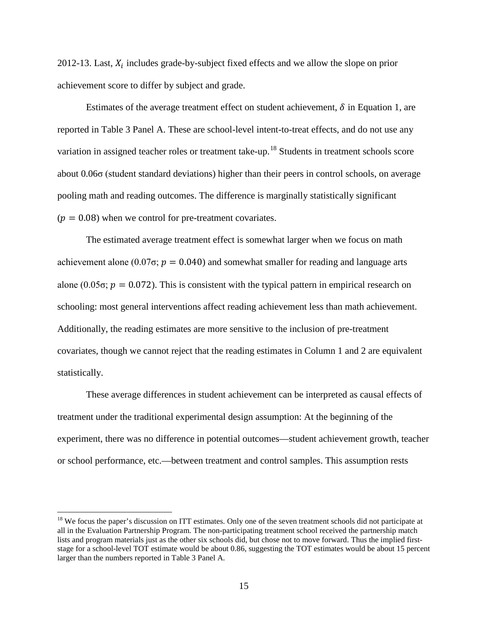2012-13. Last,  $X_i$  includes grade-by-subject fixed effects and we allow the slope on prior achievement score to differ by subject and grade.

Estimates of the average treatment effect on student achievement,  $\delta$  in Equation 1, are reported in Table 3 Panel A. These are school-level intent-to-treat effects, and do not use any variation in assigned teacher roles or treatment take-up.<sup>[18](#page-16-0)</sup> Students in treatment schools score about 0.06σ (student standard deviations) higher than their peers in control schools, on average pooling math and reading outcomes. The difference is marginally statistically significant  $(p = 0.08)$  when we control for pre-treatment covariates.

The estimated average treatment effect is somewhat larger when we focus on math achievement alone (0.07 $\sigma$ ;  $p = 0.040$ ) and somewhat smaller for reading and language arts alone (0.05 $\sigma$ ;  $p = 0.072$ ). This is consistent with the typical pattern in empirical research on schooling: most general interventions affect reading achievement less than math achievement. Additionally, the reading estimates are more sensitive to the inclusion of pre-treatment covariates, though we cannot reject that the reading estimates in Column 1 and 2 are equivalent statistically.

These average differences in student achievement can be interpreted as causal effects of treatment under the traditional experimental design assumption: At the beginning of the experiment, there was no difference in potential outcomes—student achievement growth, teacher or school performance, etc.—between treatment and control samples. This assumption rests

<span id="page-16-0"></span> $18$  We focus the paper's discussion on ITT estimates. Only one of the seven treatment schools did not participate at all in the Evaluation Partnership Program. The non-participating treatment school received the partnership match lists and program materials just as the other six schools did, but chose not to move forward. Thus the implied firststage for a school-level TOT estimate would be about 0.86, suggesting the TOT estimates would be about 15 percent larger than the numbers reported in Table 3 Panel A.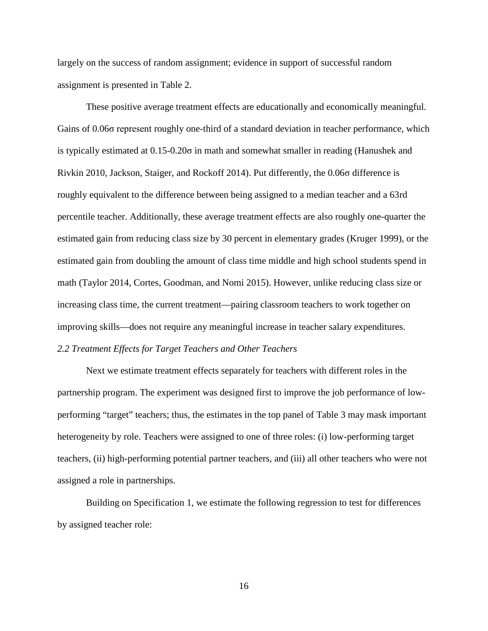largely on the success of random assignment; evidence in support of successful random assignment is presented in Table 2.

These positive average treatment effects are educationally and economically meaningful. Gains of 0.06σ represent roughly one-third of a standard deviation in teacher performance, which is typically estimated at 0.15-0.20σ in math and somewhat smaller in reading (Hanushek and Rivkin 2010, Jackson, Staiger, and Rockoff 2014). Put differently, the 0.06σ difference is roughly equivalent to the difference between being assigned to a median teacher and a 63rd percentile teacher. Additionally, these average treatment effects are also roughly one-quarter the estimated gain from reducing class size by 30 percent in elementary grades (Kruger 1999), or the estimated gain from doubling the amount of class time middle and high school students spend in math (Taylor 2014, Cortes, Goodman, and Nomi 2015). However, unlike reducing class size or increasing class time, the current treatment—pairing classroom teachers to work together on improving skills—does not require any meaningful increase in teacher salary expenditures. *2.2 Treatment Effects for Target Teachers and Other Teachers* 

Next we estimate treatment effects separately for teachers with different roles in the partnership program. The experiment was designed first to improve the job performance of lowperforming "target" teachers; thus, the estimates in the top panel of Table 3 may mask important heterogeneity by role. Teachers were assigned to one of three roles: (i) low-performing target teachers, (ii) high-performing potential partner teachers, and (iii) all other teachers who were not assigned a role in partnerships.

Building on Specification 1, we estimate the following regression to test for differences by assigned teacher role:

16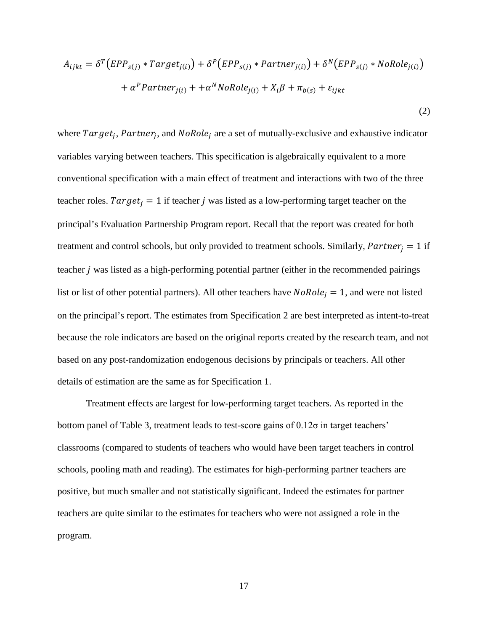$$
A_{ijkt} = \delta^T (EPP_{s(j)} * Target_{j(i)}) + \delta^P (EPP_{s(j)} * Partner_{j(i)}) + \delta^N (EPP_{s(j)} * NoRole_{j(i)})
$$

$$
+ \alpha^P Partner_{j(i)} + +\alpha^N NoRole_{j(i)} + X_i\beta + \pi_{b(s)} + \varepsilon_{ijkt}
$$
\n(2)

where  $Target_i$ ,  $Patterner_i$ , and  $NoRole_i$  are a set of mutually-exclusive and exhaustive indicator variables varying between teachers. This specification is algebraically equivalent to a more conventional specification with a main effect of treatment and interactions with two of the three teacher roles.  $Target_i = 1$  if teacher j was listed as a low-performing target teacher on the principal's Evaluation Partnership Program report. Recall that the report was created for both treatment and control schools, but only provided to treatment schools. Similarly,  $Partner_i = 1$  if teacher  $j$  was listed as a high-performing potential partner (either in the recommended pairings list or list of other potential partners). All other teachers have  $NoRole<sub>j</sub> = 1$ , and were not listed on the principal's report. The estimates from Specification 2 are best interpreted as intent-to-treat because the role indicators are based on the original reports created by the research team, and not based on any post-randomization endogenous decisions by principals or teachers. All other details of estimation are the same as for Specification 1.

Treatment effects are largest for low-performing target teachers. As reported in the bottom panel of Table 3, treatment leads to test-score gains of 0.12σ in target teachers' classrooms (compared to students of teachers who would have been target teachers in control schools, pooling math and reading). The estimates for high-performing partner teachers are positive, but much smaller and not statistically significant. Indeed the estimates for partner teachers are quite similar to the estimates for teachers who were not assigned a role in the program.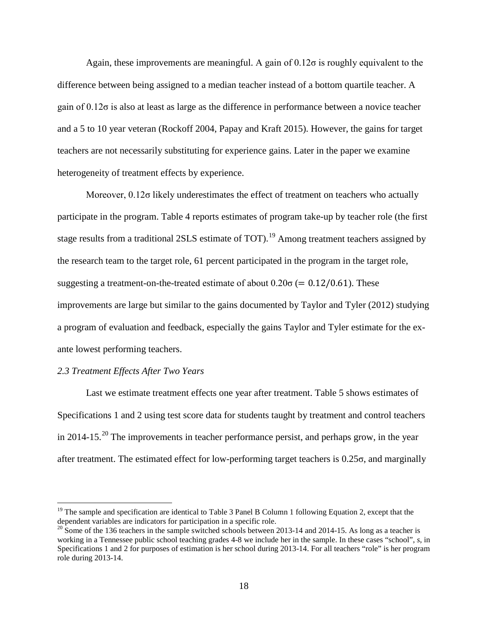Again, these improvements are meaningful. A gain of  $0.12\sigma$  is roughly equivalent to the difference between being assigned to a median teacher instead of a bottom quartile teacher. A gain of 0.12σ is also at least as large as the difference in performance between a novice teacher and a 5 to 10 year veteran (Rockoff 2004, Papay and Kraft 2015). However, the gains for target teachers are not necessarily substituting for experience gains. Later in the paper we examine heterogeneity of treatment effects by experience.

Moreover,  $0.12\sigma$  likely underestimates the effect of treatment on teachers who actually participate in the program. Table 4 reports estimates of program take-up by teacher role (the first stage results from a traditional 2SLS estimate of TOT).<sup>[19](#page-19-0)</sup> Among treatment teachers assigned by the research team to the target role, 61 percent participated in the program in the target role, suggesting a treatment-on-the-treated estimate of about  $0.20\sigma$  (= 0.12/0.61). These improvements are large but similar to the gains documented by Taylor and Tyler (2012) studying a program of evaluation and feedback, especially the gains Taylor and Tyler estimate for the exante lowest performing teachers.

#### *2.3 Treatment Effects After Two Years*

 $\overline{a}$ 

Last we estimate treatment effects one year after treatment. Table 5 shows estimates of Specifications 1 and 2 using test score data for students taught by treatment and control teachers in [20](#page-19-1)14-15.<sup>20</sup> The improvements in teacher performance persist, and perhaps grow, in the year after treatment. The estimated effect for low-performing target teachers is 0.25σ, and marginally

<span id="page-19-0"></span><sup>&</sup>lt;sup>19</sup> The sample and specification are identical to Table 3 Panel B Column 1 following Equation 2, except that the dependent variables are indicators for participation in a specific role.

<span id="page-19-1"></span> $\frac{20}{20}$  Some of the 136 teachers in the sample switched schools between 2013-14 and 2014-15. As long as a teacher is working in a Tennessee public school teaching grades 4-8 we include her in the sample. In these cases "school", *s*, in Specifications 1 and 2 for purposes of estimation is her school during 2013-14. For all teachers "role" is her program role during 2013-14.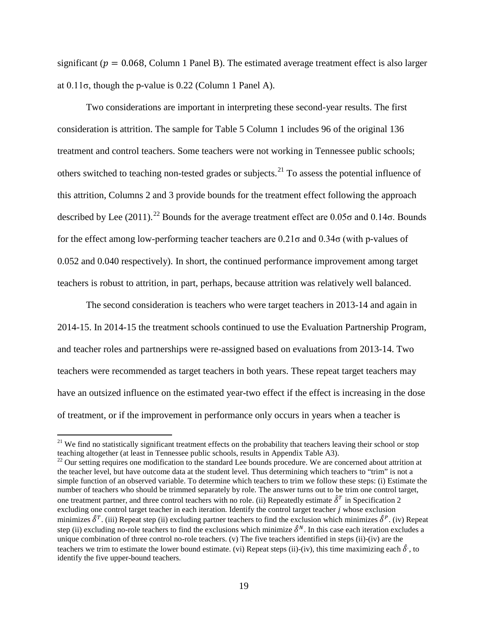significant ( $p = 0.068$ , Column 1 Panel B). The estimated average treatment effect is also larger at  $0.11\sigma$ , though the p-value is  $0.22$  (Column 1 Panel A).

Two considerations are important in interpreting these second-year results. The first consideration is attrition. The sample for Table 5 Column 1 includes 96 of the original 136 treatment and control teachers. Some teachers were not working in Tennessee public schools; others switched to teaching non-tested grades or subjects.<sup>21</sup> To assess the potential influence of this attrition, Columns 2 and 3 provide bounds for the treatment effect following the approach described by Lee (2011).<sup>22</sup> Bounds for the average treatment effect are  $0.05\sigma$  and  $0.14\sigma$ . Bounds for the effect among low-performing teacher teachers are 0.21σ and 0.34σ (with p-values of 0.052 and 0.040 respectively). In short, the continued performance improvement among target teachers is robust to attrition, in part, perhaps, because attrition was relatively well balanced.

The second consideration is teachers who were target teachers in 2013-14 and again in 2014-15. In 2014-15 the treatment schools continued to use the Evaluation Partnership Program, and teacher roles and partnerships were re-assigned based on evaluations from 2013-14. Two teachers were recommended as target teachers in both years. These repeat target teachers may have an outsized influence on the estimated year-two effect if the effect is increasing in the dose of treatment, or if the improvement in performance only occurs in years when a teacher is

 $\overline{a}$ 

<span id="page-20-1"></span> $^{22}$  Our setting requires one modification to the standard Lee bounds procedure. We are concerned about attrition at the teacher level, but have outcome data at the student level. Thus determining which teachers to "trim" is not a simple function of an observed variable. To determine which teachers to trim we follow these steps: (i) Estimate the number of teachers who should be trimmed separately by role. The answer turns out to be trim one control target, one treatment partner, and three control teachers with no role. (ii) Repeatedly estimate  $\hat{\delta}^T$  in Specification 2 excluding one control target teacher in each iteration. Identify the control target teacher  $j$  whose exclusion minimizes  $\hat{\delta}^T$ . (iii) Repeat step (ii) excluding partner teachers to find the exclusion which minimizes  $\hat{\delta}^P$ . (iv) Repeat step (ii) excluding no-role teachers to find the exclusions which minimize  $\hat{\delta}^N$ . In this case each iteration excludes a unique combination of three control no-role teachers. (v) The five teachers identified in steps (ii)-(iv) are the teachers we trim to estimate the lower bound estimate. (vi) Repeat steps (ii)-(iv), this time maximizing each  $\delta$ , to identify the five upper-bound teachers.

<span id="page-20-0"></span><sup>&</sup>lt;sup>21</sup> We find no statistically significant treatment effects on the probability that teachers leaving their school or stop teaching altogether (at least in Tennessee public schools, results in Appendix Table A3).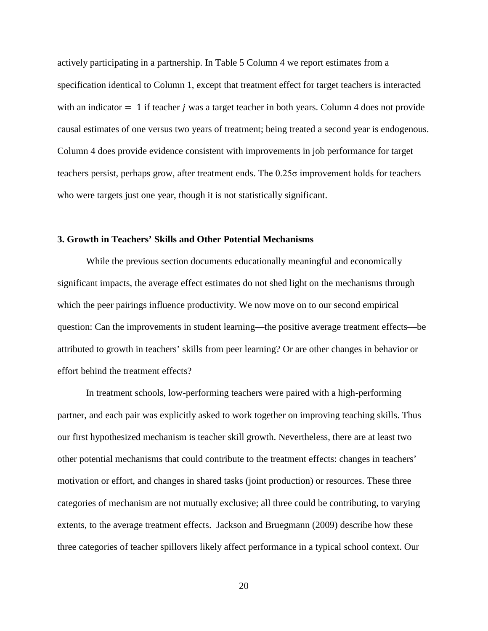actively participating in a partnership. In Table 5 Column 4 we report estimates from a specification identical to Column 1, except that treatment effect for target teachers is interacted with an indicator  $= 1$  if teacher *i* was a target teacher in both years. Column 4 does not provide causal estimates of one versus two years of treatment; being treated a second year is endogenous. Column 4 does provide evidence consistent with improvements in job performance for target teachers persist, perhaps grow, after treatment ends. The 0.25σ improvement holds for teachers who were targets just one year, though it is not statistically significant.

#### **3. Growth in Teachers' Skills and Other Potential Mechanisms**

While the previous section documents educationally meaningful and economically significant impacts, the average effect estimates do not shed light on the mechanisms through which the peer pairings influence productivity. We now move on to our second empirical question: Can the improvements in student learning—the positive average treatment effects—be attributed to growth in teachers' skills from peer learning? Or are other changes in behavior or effort behind the treatment effects?

 In treatment schools, low-performing teachers were paired with a high-performing partner, and each pair was explicitly asked to work together on improving teaching skills. Thus our first hypothesized mechanism is teacher skill growth. Nevertheless, there are at least two other potential mechanisms that could contribute to the treatment effects: changes in teachers' motivation or effort, and changes in shared tasks (joint production) or resources. These three categories of mechanism are not mutually exclusive; all three could be contributing, to varying extents, to the average treatment effects. Jackson and Bruegmann (2009) describe how these three categories of teacher spillovers likely affect performance in a typical school context. Our

20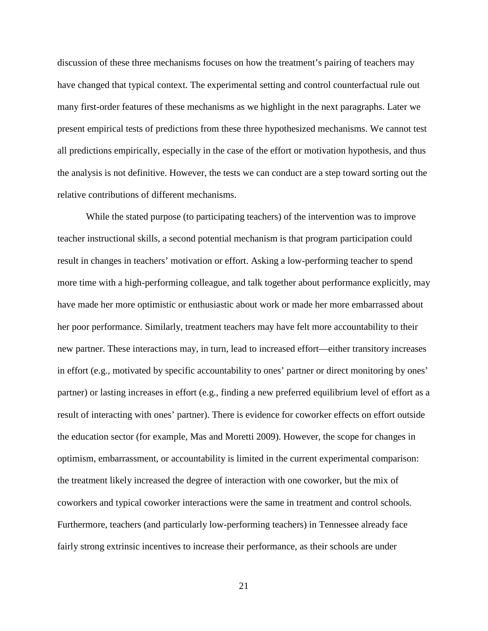discussion of these three mechanisms focuses on how the treatment's pairing of teachers may have changed that typical context. The experimental setting and control counterfactual rule out many first-order features of these mechanisms as we highlight in the next paragraphs. Later we present empirical tests of predictions from these three hypothesized mechanisms. We cannot test all predictions empirically, especially in the case of the effort or motivation hypothesis, and thus the analysis is not definitive. However, the tests we can conduct are a step toward sorting out the relative contributions of different mechanisms.

 While the stated purpose (to participating teachers) of the intervention was to improve teacher instructional skills, a second potential mechanism is that program participation could result in changes in teachers' motivation or effort. Asking a low-performing teacher to spend more time with a high-performing colleague, and talk together about performance explicitly, may have made her more optimistic or enthusiastic about work or made her more embarrassed about her poor performance. Similarly, treatment teachers may have felt more accountability to their new partner. These interactions may, in turn, lead to increased effort—either transitory increases in effort (e.g., motivated by specific accountability to ones' partner or direct monitoring by ones' partner) or lasting increases in effort (e.g., finding a new preferred equilibrium level of effort as a result of interacting with ones' partner). There is evidence for coworker effects on effort outside the education sector (for example, Mas and Moretti 2009). However, the scope for changes in optimism, embarrassment, or accountability is limited in the current experimental comparison: the treatment likely increased the degree of interaction with one coworker, but the mix of coworkers and typical coworker interactions were the same in treatment and control schools. Furthermore, teachers (and particularly low-performing teachers) in Tennessee already face fairly strong extrinsic incentives to increase their performance, as their schools are under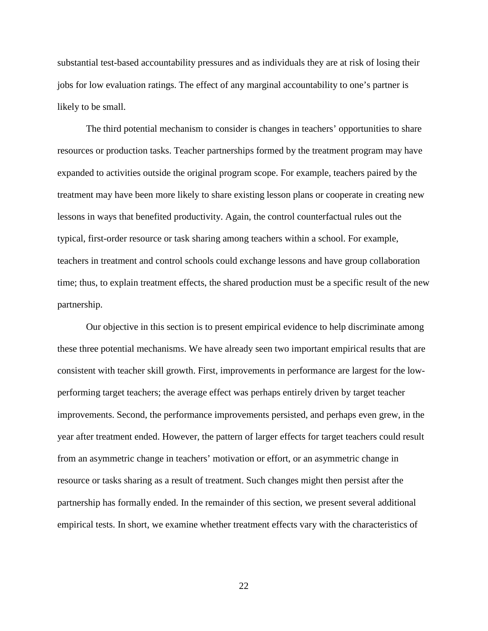substantial test-based accountability pressures and as individuals they are at risk of losing their jobs for low evaluation ratings. The effect of any marginal accountability to one's partner is likely to be small.

The third potential mechanism to consider is changes in teachers' opportunities to share resources or production tasks. Teacher partnerships formed by the treatment program may have expanded to activities outside the original program scope. For example, teachers paired by the treatment may have been more likely to share existing lesson plans or cooperate in creating new lessons in ways that benefited productivity. Again, the control counterfactual rules out the typical, first-order resource or task sharing among teachers within a school. For example, teachers in treatment and control schools could exchange lessons and have group collaboration time; thus, to explain treatment effects, the shared production must be a specific result of the new partnership.

Our objective in this section is to present empirical evidence to help discriminate among these three potential mechanisms. We have already seen two important empirical results that are consistent with teacher skill growth. First, improvements in performance are largest for the lowperforming target teachers; the average effect was perhaps entirely driven by target teacher improvements. Second, the performance improvements persisted, and perhaps even grew, in the year after treatment ended. However, the pattern of larger effects for target teachers could result from an asymmetric change in teachers' motivation or effort, or an asymmetric change in resource or tasks sharing as a result of treatment. Such changes might then persist after the partnership has formally ended. In the remainder of this section, we present several additional empirical tests. In short, we examine whether treatment effects vary with the characteristics of

22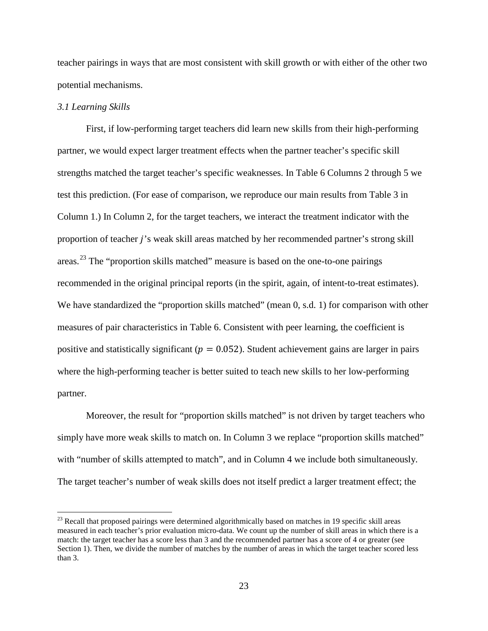teacher pairings in ways that are most consistent with skill growth or with either of the other two potential mechanisms.

#### *3.1 Learning Skills*

 $\overline{a}$ 

First, if low-performing target teachers did learn new skills from their high-performing partner, we would expect larger treatment effects when the partner teacher's specific skill strengths matched the target teacher's specific weaknesses. In Table 6 Columns 2 through 5 we test this prediction. (For ease of comparison, we reproduce our main results from Table 3 in Column 1.) In Column 2, for the target teachers, we interact the treatment indicator with the proportion of teacher *j*'s weak skill areas matched by her recommended partner's strong skill areas.<sup>[23](#page-24-0)</sup> The "proportion skills matched" measure is based on the one-to-one pairings recommended in the original principal reports (in the spirit, again, of intent-to-treat estimates). We have standardized the "proportion skills matched" (mean 0, s.d. 1) for comparison with other measures of pair characteristics in Table 6. Consistent with peer learning, the coefficient is positive and statistically significant ( $p = 0.052$ ). Student achievement gains are larger in pairs where the high-performing teacher is better suited to teach new skills to her low-performing partner.

Moreover, the result for "proportion skills matched" is not driven by target teachers who simply have more weak skills to match on. In Column 3 we replace "proportion skills matched" with "number of skills attempted to match", and in Column 4 we include both simultaneously. The target teacher's number of weak skills does not itself predict a larger treatment effect; the

<span id="page-24-0"></span><sup>&</sup>lt;sup>23</sup> Recall that proposed pairings were determined algorithmically based on matches in 19 specific skill areas measured in each teacher's prior evaluation micro-data. We count up the number of skill areas in which there is a match: the target teacher has a score less than 3 and the recommended partner has a score of 4 or greater (see Section 1). Then, we divide the number of matches by the number of areas in which the target teacher scored less than 3.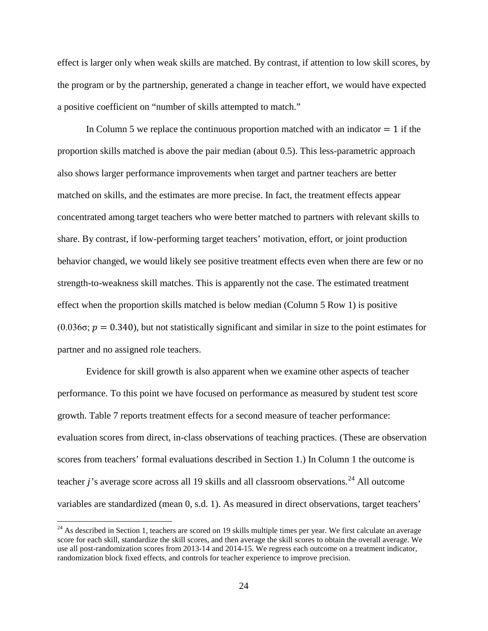effect is larger only when weak skills are matched. By contrast, if attention to low skill scores, by the program or by the partnership, generated a change in teacher effort, we would have expected a positive coefficient on "number of skills attempted to match."

In Column 5 we replace the continuous proportion matched with an indicator  $= 1$  if the proportion skills matched is above the pair median (about 0.5). This less-parametric approach also shows larger performance improvements when target and partner teachers are better matched on skills, and the estimates are more precise. In fact, the treatment effects appear concentrated among target teachers who were better matched to partners with relevant skills to share. By contrast, if low-performing target teachers' motivation, effort, or joint production behavior changed, we would likely see positive treatment effects even when there are few or no strength-to-weakness skill matches. This is apparently not the case. The estimated treatment effect when the proportion skills matched is below median (Column 5 Row 1) is positive  $(0.036\sigma; p = 0.340)$ , but not statistically significant and similar in size to the point estimates for partner and no assigned role teachers.

Evidence for skill growth is also apparent when we examine other aspects of teacher performance. To this point we have focused on performance as measured by student test score growth. Table 7 reports treatment effects for a second measure of teacher performance: evaluation scores from direct, in-class observations of teaching practices. (These are observation scores from teachers' formal evaluations described in Section 1.) In Column 1 the outcome is teacher  $j$ 's average score across all 19 skills and all classroom observations.<sup>[24](#page-25-0)</sup> All outcome variables are standardized (mean 0, s.d. 1). As measured in direct observations, target teachers'

<span id="page-25-0"></span> $24$  As described in Section 1, teachers are scored on 19 skills multiple times per year. We first calculate an average score for each skill, standardize the skill scores, and then average the skill scores to obtain the overall average. We use all post-randomization scores from 2013-14 and 2014-15. We regress each outcome on a treatment indicator, randomization block fixed effects, and controls for teacher experience to improve precision.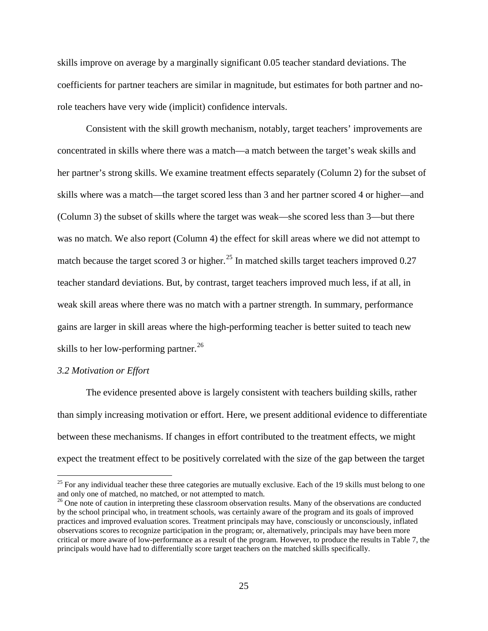skills improve on average by a marginally significant 0.05 teacher standard deviations. The coefficients for partner teachers are similar in magnitude, but estimates for both partner and norole teachers have very wide (implicit) confidence intervals.

Consistent with the skill growth mechanism, notably, target teachers' improvements are concentrated in skills where there was a match—a match between the target's weak skills and her partner's strong skills. We examine treatment effects separately (Column 2) for the subset of skills where was a match—the target scored less than 3 and her partner scored 4 or higher—and (Column 3) the subset of skills where the target was weak—she scored less than 3—but there was no match. We also report (Column 4) the effect for skill areas where we did not attempt to match because the target scored 3 or higher.<sup>25</sup> In matched skills target teachers improved 0.27 teacher standard deviations. But, by contrast, target teachers improved much less, if at all, in weak skill areas where there was no match with a partner strength. In summary, performance gains are larger in skill areas where the high-performing teacher is better suited to teach new skills to her low-performing partner.<sup>[26](#page-26-1)</sup>

# *3.2 Motivation or Effort*

 $\overline{a}$ 

The evidence presented above is largely consistent with teachers building skills, rather than simply increasing motivation or effort. Here, we present additional evidence to differentiate between these mechanisms. If changes in effort contributed to the treatment effects, we might expect the treatment effect to be positively correlated with the size of the gap between the target

<span id="page-26-0"></span> $25$  For any individual teacher these three categories are mutually exclusive. Each of the 19 skills must belong to one and only one of matched, no matched, or not attempted to match.

<span id="page-26-1"></span><sup>&</sup>lt;sup>26</sup> One note of caution in interpreting these classroom observation results. Many of the observations are conducted by the school principal who, in treatment schools, was certainly aware of the program and its goals of improved practices and improved evaluation scores. Treatment principals may have, consciously or unconsciously, inflated observations scores to recognize participation in the program; or, alternatively, principals may have been more critical or more aware of low-performance as a result of the program. However, to produce the results in Table 7, the principals would have had to differentially score target teachers on the matched skills specifically.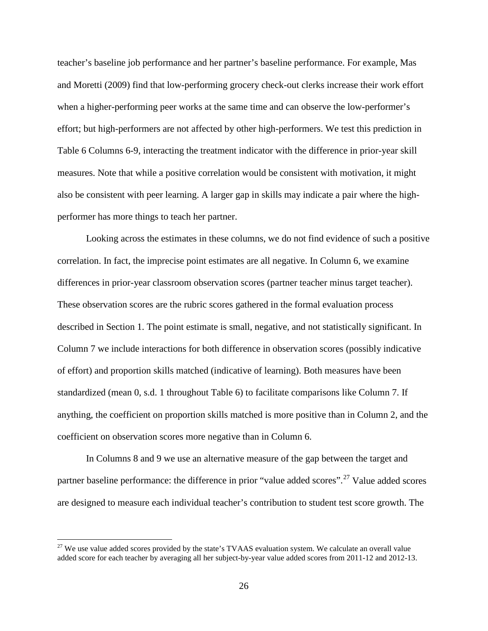teacher's baseline job performance and her partner's baseline performance. For example, Mas and Moretti (2009) find that low-performing grocery check-out clerks increase their work effort when a higher-performing peer works at the same time and can observe the low-performer's effort; but high-performers are not affected by other high-performers. We test this prediction in Table 6 Columns 6-9, interacting the treatment indicator with the difference in prior-year skill measures. Note that while a positive correlation would be consistent with motivation, it might also be consistent with peer learning. A larger gap in skills may indicate a pair where the highperformer has more things to teach her partner.

Looking across the estimates in these columns, we do not find evidence of such a positive correlation. In fact, the imprecise point estimates are all negative. In Column 6, we examine differences in prior-year classroom observation scores (partner teacher minus target teacher). These observation scores are the rubric scores gathered in the formal evaluation process described in Section 1. The point estimate is small, negative, and not statistically significant. In Column 7 we include interactions for both difference in observation scores (possibly indicative of effort) and proportion skills matched (indicative of learning). Both measures have been standardized (mean 0, s.d. 1 throughout Table 6) to facilitate comparisons like Column 7. If anything, the coefficient on proportion skills matched is more positive than in Column 2, and the coefficient on observation scores more negative than in Column 6.

In Columns 8 and 9 we use an alternative measure of the gap between the target and partner baseline performance: the difference in prior "value added scores".<sup>[27](#page-27-0)</sup> Value added scores are designed to measure each individual teacher's contribution to student test score growth. The

<span id="page-27-0"></span> $27$  We use value added scores provided by the state's TVAAS evaluation system. We calculate an overall value added score for each teacher by averaging all her subject-by-year value added scores from 2011-12 and 2012-13.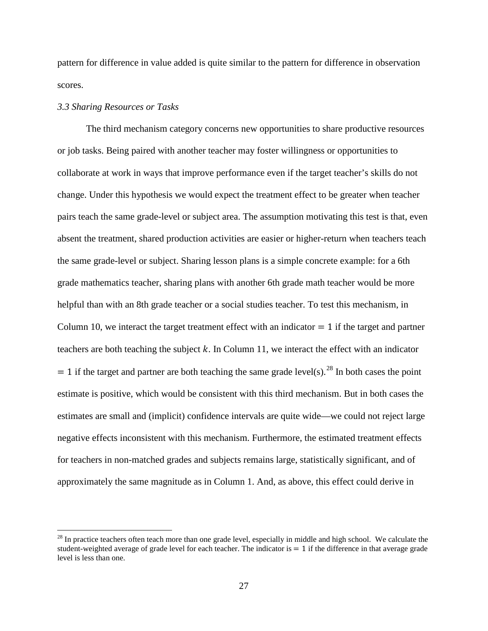pattern for difference in value added is quite similar to the pattern for difference in observation scores.

### *3.3 Sharing Resources or Tasks*

 $\overline{a}$ 

The third mechanism category concerns new opportunities to share productive resources or job tasks. Being paired with another teacher may foster willingness or opportunities to collaborate at work in ways that improve performance even if the target teacher's skills do not change. Under this hypothesis we would expect the treatment effect to be greater when teacher pairs teach the same grade-level or subject area. The assumption motivating this test is that, even absent the treatment, shared production activities are easier or higher-return when teachers teach the same grade-level or subject. Sharing lesson plans is a simple concrete example: for a 6th grade mathematics teacher, sharing plans with another 6th grade math teacher would be more helpful than with an 8th grade teacher or a social studies teacher. To test this mechanism, in Column 10, we interact the target treatment effect with an indicator  $= 1$  if the target and partner teachers are both teaching the subject  $k$ . In Column 11, we interact the effect with an indicator  $= 1$  if the target and partner are both teaching the same grade level(s).<sup>28</sup> In both cases the point estimate is positive, which would be consistent with this third mechanism. But in both cases the estimates are small and (implicit) confidence intervals are quite wide—we could not reject large negative effects inconsistent with this mechanism. Furthermore, the estimated treatment effects for teachers in non-matched grades and subjects remains large, statistically significant, and of approximately the same magnitude as in Column 1. And, as above, this effect could derive in

<span id="page-28-0"></span> $28$  In practice teachers often teach more than one grade level, especially in middle and high school. We calculate the student-weighted average of grade level for each teacher. The indicator is  $= 1$  if the difference in that average grade level is less than one.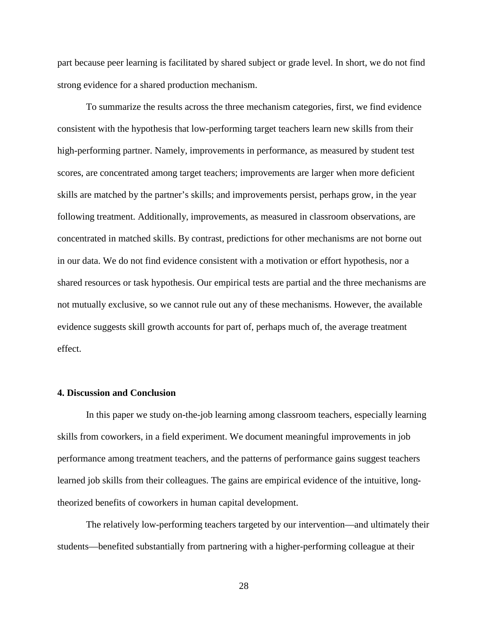part because peer learning is facilitated by shared subject or grade level. In short, we do not find strong evidence for a shared production mechanism.

To summarize the results across the three mechanism categories, first, we find evidence consistent with the hypothesis that low-performing target teachers learn new skills from their high-performing partner. Namely, improvements in performance, as measured by student test scores, are concentrated among target teachers; improvements are larger when more deficient skills are matched by the partner's skills; and improvements persist, perhaps grow, in the year following treatment. Additionally, improvements, as measured in classroom observations, are concentrated in matched skills. By contrast, predictions for other mechanisms are not borne out in our data. We do not find evidence consistent with a motivation or effort hypothesis, nor a shared resources or task hypothesis. Our empirical tests are partial and the three mechanisms are not mutually exclusive, so we cannot rule out any of these mechanisms. However, the available evidence suggests skill growth accounts for part of, perhaps much of, the average treatment effect.

### **4. Discussion and Conclusion**

 In this paper we study on-the-job learning among classroom teachers, especially learning skills from coworkers, in a field experiment. We document meaningful improvements in job performance among treatment teachers, and the patterns of performance gains suggest teachers learned job skills from their colleagues. The gains are empirical evidence of the intuitive, longtheorized benefits of coworkers in human capital development.

The relatively low-performing teachers targeted by our intervention—and ultimately their students—benefited substantially from partnering with a higher-performing colleague at their

28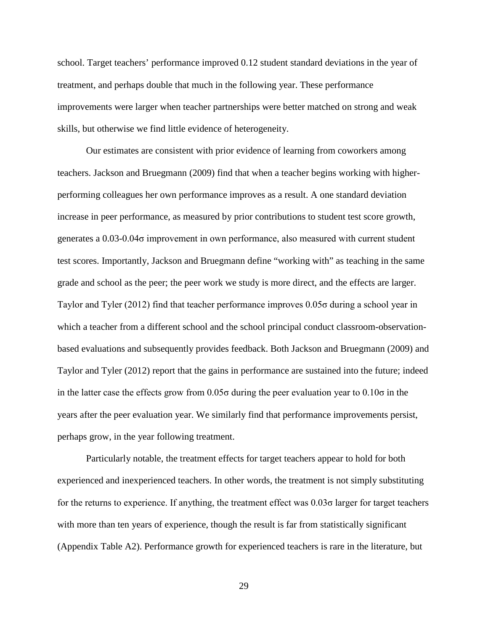school. Target teachers' performance improved 0.12 student standard deviations in the year of treatment, and perhaps double that much in the following year. These performance improvements were larger when teacher partnerships were better matched on strong and weak skills, but otherwise we find little evidence of heterogeneity.

Our estimates are consistent with prior evidence of learning from coworkers among teachers. Jackson and Bruegmann (2009) find that when a teacher begins working with higherperforming colleagues her own performance improves as a result. A one standard deviation increase in peer performance, as measured by prior contributions to student test score growth, generates a 0.03-0.04σ improvement in own performance, also measured with current student test scores. Importantly, Jackson and Bruegmann define "working with" as teaching in the same grade and school as the peer; the peer work we study is more direct, and the effects are larger. Taylor and Tyler (2012) find that teacher performance improves 0.05σ during a school year in which a teacher from a different school and the school principal conduct classroom-observationbased evaluations and subsequently provides feedback. Both Jackson and Bruegmann (2009) and Taylor and Tyler (2012) report that the gains in performance are sustained into the future; indeed in the latter case the effects grow from  $0.05\sigma$  during the peer evaluation year to  $0.10\sigma$  in the years after the peer evaluation year. We similarly find that performance improvements persist, perhaps grow, in the year following treatment.

Particularly notable, the treatment effects for target teachers appear to hold for both experienced and inexperienced teachers. In other words, the treatment is not simply substituting for the returns to experience. If anything, the treatment effect was 0.03σ larger for target teachers with more than ten years of experience, though the result is far from statistically significant (Appendix Table A2). Performance growth for experienced teachers is rare in the literature, but

29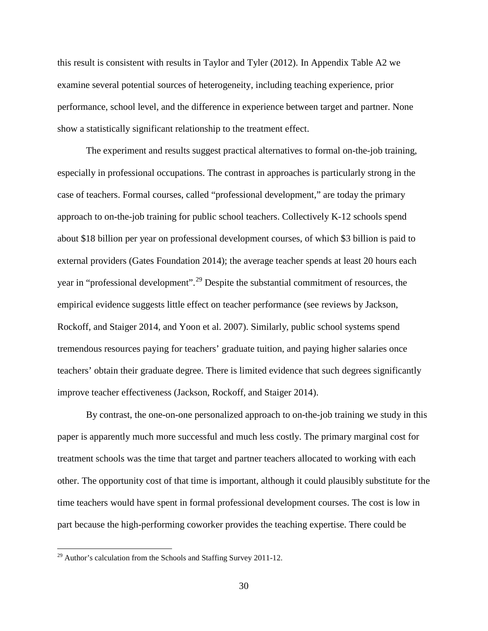this result is consistent with results in Taylor and Tyler (2012). In Appendix Table A2 we examine several potential sources of heterogeneity, including teaching experience, prior performance, school level, and the difference in experience between target and partner. None show a statistically significant relationship to the treatment effect.

The experiment and results suggest practical alternatives to formal on-the-job training, especially in professional occupations. The contrast in approaches is particularly strong in the case of teachers. Formal courses, called "professional development," are today the primary approach to on-the-job training for public school teachers. Collectively K-12 schools spend about \$18 billion per year on professional development courses, of which \$3 billion is paid to external providers (Gates Foundation 2014); the average teacher spends at least 20 hours each year in "professional development".[29](#page-31-0) Despite the substantial commitment of resources, the empirical evidence suggests little effect on teacher performance (see reviews by Jackson, Rockoff, and Staiger 2014, and Yoon et al. 2007). Similarly, public school systems spend tremendous resources paying for teachers' graduate tuition, and paying higher salaries once teachers' obtain their graduate degree. There is limited evidence that such degrees significantly improve teacher effectiveness (Jackson, Rockoff, and Staiger 2014).

By contrast, the one-on-one personalized approach to on-the-job training we study in this paper is apparently much more successful and much less costly. The primary marginal cost for treatment schools was the time that target and partner teachers allocated to working with each other. The opportunity cost of that time is important, although it could plausibly substitute for the time teachers would have spent in formal professional development courses. The cost is low in part because the high-performing coworker provides the teaching expertise. There could be

<span id="page-31-0"></span> $^{29}$  Author's calculation from the Schools and Staffing Survey 2011-12.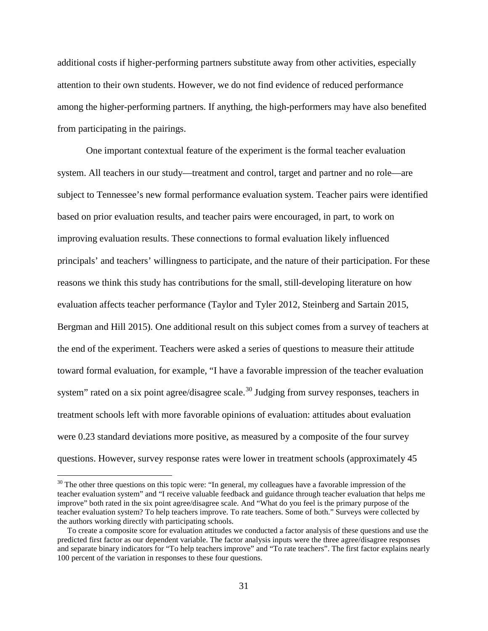additional costs if higher-performing partners substitute away from other activities, especially attention to their own students. However, we do not find evidence of reduced performance among the higher-performing partners. If anything, the high-performers may have also benefited from participating in the pairings.

One important contextual feature of the experiment is the formal teacher evaluation system. All teachers in our study—treatment and control, target and partner and no role—are subject to Tennessee's new formal performance evaluation system. Teacher pairs were identified based on prior evaluation results, and teacher pairs were encouraged, in part, to work on improving evaluation results. These connections to formal evaluation likely influenced principals' and teachers' willingness to participate, and the nature of their participation. For these reasons we think this study has contributions for the small, still-developing literature on how evaluation affects teacher performance (Taylor and Tyler 2012, Steinberg and Sartain 2015, Bergman and Hill 2015). One additional result on this subject comes from a survey of teachers at the end of the experiment. Teachers were asked a series of questions to measure their attitude toward formal evaluation, for example, "I have a favorable impression of the teacher evaluation system" rated on a six point agree/disagree scale.<sup>30</sup> Judging from survey responses, teachers in treatment schools left with more favorable opinions of evaluation: attitudes about evaluation were 0.23 standard deviations more positive, as measured by a composite of the four survey questions. However, survey response rates were lower in treatment schools (approximately 45

<span id="page-32-0"></span><sup>&</sup>lt;sup>30</sup> The other three questions on this topic were: "In general, my colleagues have a favorable impression of the teacher evaluation system" and "I receive valuable feedback and guidance through teacher evaluation that helps me improve" both rated in the six point agree/disagree scale. And "What do you feel is the primary purpose of the teacher evaluation system? To help teachers improve. To rate teachers. Some of both." Surveys were collected by the authors working directly with participating schools.

To create a composite score for evaluation attitudes we conducted a factor analysis of these questions and use the predicted first factor as our dependent variable. The factor analysis inputs were the three agree/disagree responses and separate binary indicators for "To help teachers improve" and "To rate teachers". The first factor explains nearly 100 percent of the variation in responses to these four questions.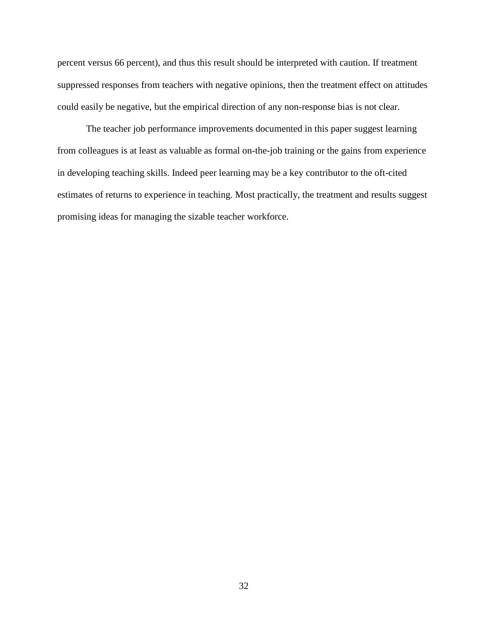percent versus 66 percent), and thus this result should be interpreted with caution. If treatment suppressed responses from teachers with negative opinions, then the treatment effect on attitudes could easily be negative, but the empirical direction of any non-response bias is not clear.

The teacher job performance improvements documented in this paper suggest learning from colleagues is at least as valuable as formal on-the-job training or the gains from experience in developing teaching skills. Indeed peer learning may be a key contributor to the oft-cited estimates of returns to experience in teaching. Most practically, the treatment and results suggest promising ideas for managing the sizable teacher workforce.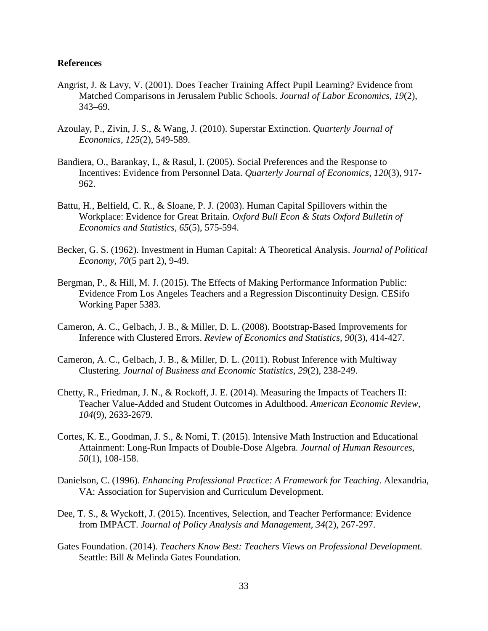### **References**

- Angrist, J. & Lavy, V. (2001). Does Teacher Training Affect Pupil Learning? Evidence from Matched Comparisons in Jerusalem Public Schools. *Journal of Labor Economics, 19*(2), 343–69.
- Azoulay, P., Zivin, J. S., & Wang, J. (2010). Superstar Extinction. *Quarterly Journal of Economics, 125*(2), 549-589.
- Bandiera, O., Barankay, I., & Rasul, I. (2005). Social Preferences and the Response to Incentives: Evidence from Personnel Data. *Quarterly Journal of Economics, 120*(3), 917- 962.
- Battu, H., Belfield, C. R., & Sloane, P. J. (2003). Human Capital Spillovers within the Workplace: Evidence for Great Britain. *Oxford Bull Econ & Stats Oxford Bulletin of Economics and Statistics, 65*(5), 575-594.
- Becker, G. S. (1962). Investment in Human Capital: A Theoretical Analysis. *Journal of Political Economy, 70*(5 part 2), 9-49.
- Bergman, P., & Hill, M. J. (2015). The Effects of Making Performance Information Public: Evidence From Los Angeles Teachers and a Regression Discontinuity Design. CESifo Working Paper 5383.
- Cameron, A. C., Gelbach, J. B., & Miller, D. L. (2008). Bootstrap-Based Improvements for Inference with Clustered Errors. *Review of Economics and Statistics, 90*(3), 414-427.
- Cameron, A. C., Gelbach, J. B., & Miller, D. L. (2011). Robust Inference with Multiway Clustering. *Journal of Business and Economic Statistics, 29*(2), 238-249.
- Chetty, R., Friedman, J. N., & Rockoff, J. E. (2014). Measuring the Impacts of Teachers II: Teacher Value-Added and Student Outcomes in Adulthood. *American Economic Review, 104*(9), 2633-2679.
- Cortes, K. E., Goodman, J. S., & Nomi, T. (2015). Intensive Math Instruction and Educational Attainment: Long-Run Impacts of Double-Dose Algebra. *Journal of Human Resources, 50*(1), 108-158.
- Danielson, C. (1996). *Enhancing Professional Practice: A Framework for Teaching*. Alexandria, VA: Association for Supervision and Curriculum Development.
- Dee, T. S., & Wyckoff, J. (2015). Incentives, Selection, and Teacher Performance: Evidence from IMPACT. *Journal of Policy Analysis and Management, 34*(2), 267-297.
- Gates Foundation. (2014). *Teachers Know Best: Teachers Views on Professional Development.* Seattle: Bill & Melinda Gates Foundation.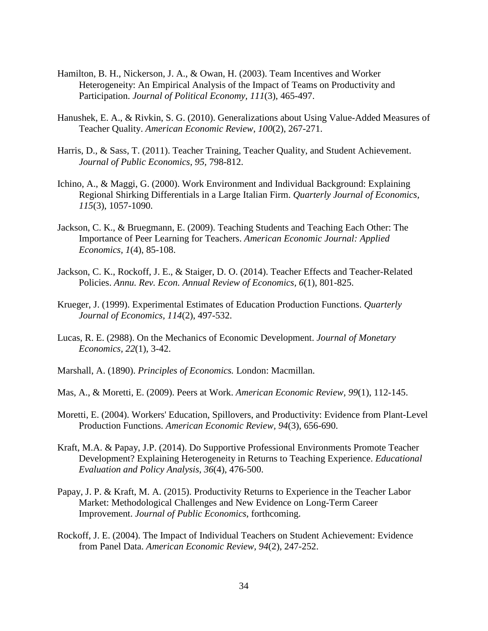- Hamilton, B. H., Nickerson, J. A., & Owan, H. (2003). Team Incentives and Worker Heterogeneity: An Empirical Analysis of the Impact of Teams on Productivity and Participation. *Journal of Political Economy, 111*(3), 465-497.
- Hanushek, E. A., & Rivkin, S. G. (2010). Generalizations about Using Value-Added Measures of Teacher Quality. *American Economic Review, 100*(2), 267-271.
- Harris, D., & Sass, T. (2011). Teacher Training, Teacher Quality, and Student Achievement. *Journal of Public Economics, 95,* 798-812.
- Ichino, A., & Maggi, G. (2000). Work Environment and Individual Background: Explaining Regional Shirking Differentials in a Large Italian Firm. *Quarterly Journal of Economics, 115*(3), 1057-1090.
- Jackson, C. K., & Bruegmann, E. (2009). Teaching Students and Teaching Each Other: The Importance of Peer Learning for Teachers. *American Economic Journal: Applied Economics, 1*(4), 85-108.
- Jackson, C. K., Rockoff, J. E., & Staiger, D. O. (2014). Teacher Effects and Teacher-Related Policies. *Annu. Rev. Econ. Annual Review of Economics, 6*(1), 801-825.
- Krueger, J. (1999). Experimental Estimates of Education Production Functions. *Quarterly Journal of Economics, 114*(2), 497-532.
- Lucas, R. E. (2988). On the Mechanics of Economic Development. *Journal of Monetary Economics, 22*(1), 3-42.
- Marshall, A. (1890). *Principles of Economics.* London: Macmillan.
- Mas, A., & Moretti, E. (2009). Peers at Work. *American Economic Review, 99*(1), 112-145.
- Moretti, E. (2004). Workers' Education, Spillovers, and Productivity: Evidence from Plant-Level Production Functions. *American Economic Review, 94*(3), 656-690.
- Kraft, M.A. & Papay, J.P. (2014). Do Supportive Professional Environments Promote Teacher Development? Explaining Heterogeneity in Returns to Teaching Experience. *Educational Evaluation and Policy Analysis, 36*(4), 476-500.
- Papay, J. P. & Kraft, M. A. (2015). Productivity Returns to Experience in the Teacher Labor Market: Methodological Challenges and New Evidence on Long-Term Career Improvement. *Journal of Public Economics*, forthcoming.
- Rockoff, J. E. (2004). The Impact of Individual Teachers on Student Achievement: Evidence from Panel Data. *American Economic Review, 94*(2), 247-252.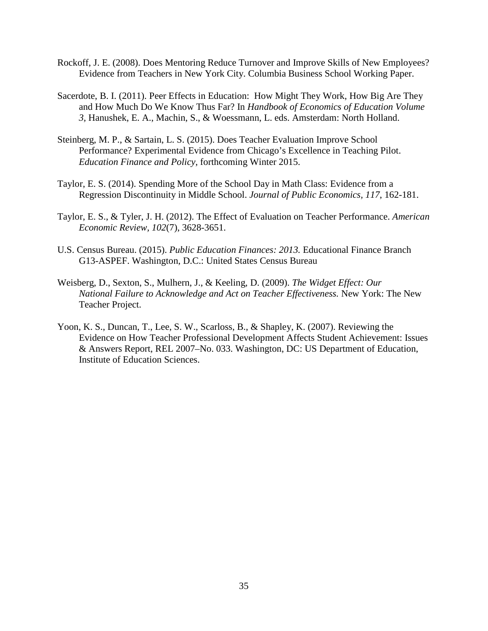- Rockoff, J. E. (2008). Does Mentoring Reduce Turnover and Improve Skills of New Employees? Evidence from Teachers in New York City. Columbia Business School Working Paper.
- Sacerdote, B. I. (2011). Peer Effects in Education: How Might They Work, How Big Are They and How Much Do We Know Thus Far? In *Handbook of Economics of Education Volume 3,* Hanushek, E. A., Machin, S., & Woessmann, L. eds. Amsterdam: North Holland.
- Steinberg, M. P., & Sartain, L. S. (2015). Does Teacher Evaluation Improve School Performance? Experimental Evidence from Chicago's Excellence in Teaching Pilot. *Education Finance and Policy*, forthcoming Winter 2015.
- Taylor, E. S. (2014). Spending More of the School Day in Math Class: Evidence from a Regression Discontinuity in Middle School. *Journal of Public Economics, 117*, 162-181.
- Taylor, E. S., & Tyler, J. H. (2012). The Effect of Evaluation on Teacher Performance. *American Economic Review, 102*(7), 3628-3651.
- U.S. Census Bureau. (2015). *Public Education Finances: 2013.* Educational Finance Branch G13-ASPEF. Washington, D.C.: United States Census Bureau
- Weisberg, D., Sexton, S., Mulhern, J., & Keeling, D. (2009). *The Widget Effect: Our National Failure to Acknowledge and Act on Teacher Effectiveness.* New York: The New Teacher Project.
- Yoon, K. S., Duncan, T., Lee, S. W., Scarloss, B., & Shapley, K. (2007). Reviewing the Evidence on How Teacher Professional Development Affects Student Achievement: Issues & Answers Report, REL 2007–No. 033. Washington, DC: US Department of Education, Institute of Education Sciences.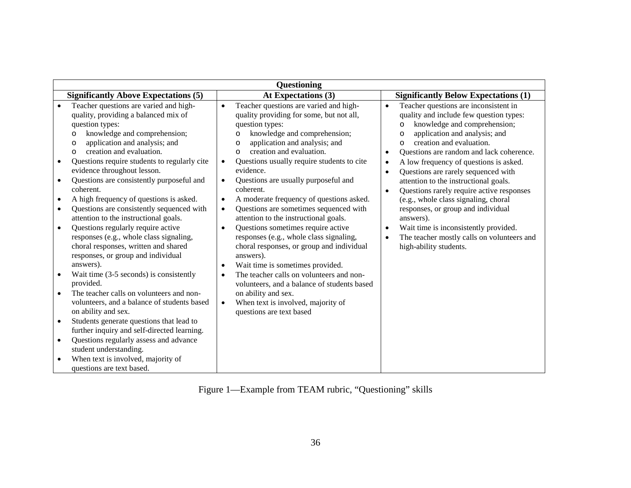| Questioning                                                                                                                                                                                                                                                                                                                                                                                                                                                                                                                                                                                                                                                                                                                                                                                                                                                                                                                                                                                                                                                                                                                                                                                                                                                                                                                                                                                                                                                                                                                                                                                                                                                                                                                                                                                                                                                                                                                                                                                                                                                                                                                                                                                                 |                                                                                                                                                                                                                                                                                                                                                                                                                                                                                                                                                                                                                                                                                                                              |
|-------------------------------------------------------------------------------------------------------------------------------------------------------------------------------------------------------------------------------------------------------------------------------------------------------------------------------------------------------------------------------------------------------------------------------------------------------------------------------------------------------------------------------------------------------------------------------------------------------------------------------------------------------------------------------------------------------------------------------------------------------------------------------------------------------------------------------------------------------------------------------------------------------------------------------------------------------------------------------------------------------------------------------------------------------------------------------------------------------------------------------------------------------------------------------------------------------------------------------------------------------------------------------------------------------------------------------------------------------------------------------------------------------------------------------------------------------------------------------------------------------------------------------------------------------------------------------------------------------------------------------------------------------------------------------------------------------------------------------------------------------------------------------------------------------------------------------------------------------------------------------------------------------------------------------------------------------------------------------------------------------------------------------------------------------------------------------------------------------------------------------------------------------------------------------------------------------------|------------------------------------------------------------------------------------------------------------------------------------------------------------------------------------------------------------------------------------------------------------------------------------------------------------------------------------------------------------------------------------------------------------------------------------------------------------------------------------------------------------------------------------------------------------------------------------------------------------------------------------------------------------------------------------------------------------------------------|
| <b>Significantly Above Expectations (5)</b><br>At Expectations (3)                                                                                                                                                                                                                                                                                                                                                                                                                                                                                                                                                                                                                                                                                                                                                                                                                                                                                                                                                                                                                                                                                                                                                                                                                                                                                                                                                                                                                                                                                                                                                                                                                                                                                                                                                                                                                                                                                                                                                                                                                                                                                                                                          | <b>Significantly Below Expectations (1)</b>                                                                                                                                                                                                                                                                                                                                                                                                                                                                                                                                                                                                                                                                                  |
| Teacher questions are varied and high-<br>Teacher questions are varied and high-<br>$\bullet$<br>$\bullet$<br>quality, providing a balanced mix of<br>quality providing for some, but not all,<br>question types:<br>question types:<br>knowledge and comprehension;<br>knowledge and comprehension;<br>$\circ$<br>$\circ$<br>application and analysis; and<br>application and analysis; and<br>O<br>$\circ$<br>creation and evaluation.<br>creation and evaluation.<br>$\circ$<br>$\circ$<br>Questions require students to regularly cite<br>Questions usually require students to cite<br>$\bullet$<br>$\bullet$<br>evidence throughout lesson.<br>evidence.<br>Questions are consistently purposeful and<br>Questions are usually purposeful and<br>$\bullet$<br>$\bullet$<br>coherent.<br>coherent.<br>A high frequency of questions is asked.<br>A moderate frequency of questions asked.<br>$\bullet$<br>$\bullet$<br>Questions are consistently sequenced with<br>Questions are sometimes sequenced with<br>$\bullet$<br>$\bullet$<br>attention to the instructional goals.<br>attention to the instructional goals.<br>Questions regularly require active<br>Questions sometimes require active<br>$\bullet$<br>$\bullet$<br>responses (e.g., whole class signaling,<br>responses (e.g., whole class signaling,<br>choral responses, written and shared<br>choral responses, or group and individual<br>responses, or group and individual<br>answers).<br>answers).<br>Wait time is sometimes provided.<br>$\bullet$<br>The teacher calls on volunteers and non-<br>Wait time (3-5 seconds) is consistently<br>$\bullet$<br>provided.<br>volunteers, and a balance of students based<br>The teacher calls on volunteers and non-<br>on ability and sex.<br>$\bullet$<br>volunteers, and a balance of students based<br>When text is involved, majority of<br>$\bullet$<br>on ability and sex.<br>questions are text based<br>Students generate questions that lead to<br>$\bullet$<br>further inquiry and self-directed learning.<br>Questions regularly assess and advance<br>$\bullet$<br>student understanding.<br>When text is involved, majority of<br>$\bullet$<br>questions are text based. | Teacher questions are inconsistent in<br>$\bullet$<br>quality and include few question types:<br>knowledge and comprehension;<br>$\circ$<br>application and analysis; and<br>$\circ$<br>creation and evaluation.<br>$\Omega$<br>Questions are random and lack coherence.<br>$\bullet$<br>A low frequency of questions is asked.<br>$\bullet$<br>Questions are rarely sequenced with<br>$\bullet$<br>attention to the instructional goals.<br>Questions rarely require active responses<br>$\bullet$<br>(e.g., whole class signaling, choral<br>responses, or group and individual<br>answers).<br>Wait time is inconsistently provided.<br>The teacher mostly calls on volunteers and<br>$\bullet$<br>high-ability students. |

Figure 1—Example from TEAM rubric, "Questioning" skills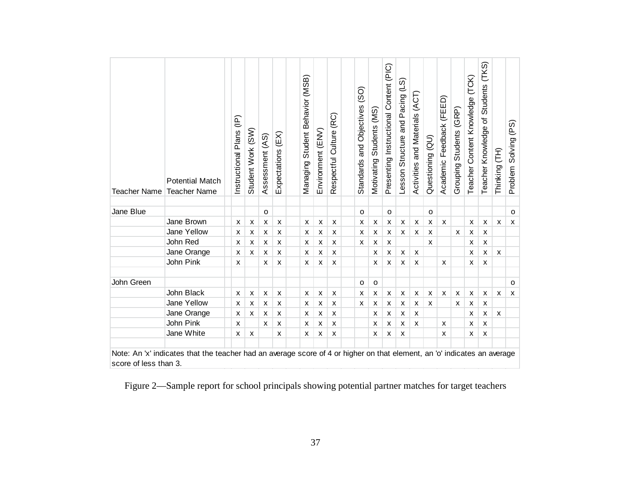| <b>Teacher Name</b> | <b>Potential Match</b><br><b>Teacher Name</b> | Instructional Plans (IP) | Student Work (SW) | Assessment (AS) | $(\text{EX})$<br>Expectations | Managing Student Behavior (MSB) | Environment (ENV) | Respectful Culture (RC)   | $\overline{SO}$<br>Standards and Objectives | Motivating Students (MS) | Presenting Instructional Content (PIC) | Lesson Structure and Pacing (LS) | Activities and Materials (ACT) | Questioning (QU) | Academic Feedback (FEED) | Grouping Students (GRP) | Teacher Content Knowledge (TCK) | Teacher Knowledge of Students (TKS) | Thinking (TH) | Solving (PS)<br>Problem |
|---------------------|-----------------------------------------------|--------------------------|-------------------|-----------------|-------------------------------|---------------------------------|-------------------|---------------------------|---------------------------------------------|--------------------------|----------------------------------------|----------------------------------|--------------------------------|------------------|--------------------------|-------------------------|---------------------------------|-------------------------------------|---------------|-------------------------|
| Jane Blue           |                                               |                          |                   | $\circ$         |                               |                                 |                   |                           | $\Omega$                                    |                          | $\circ$                                |                                  |                                | $\circ$          |                          |                         |                                 |                                     |               | 0                       |
|                     | Jane Brown                                    | X                        | X                 | X               | X                             | X                               | X                 | X                         | x                                           | X                        | X                                      | X                                | X                              | X                | $\pmb{\mathsf{x}}$       |                         | X                               | X                                   | X             | X                       |
|                     | Jane Yellow                                   | X                        | X                 | X               | X                             | X                               | $\pmb{\times}$    | X                         | X                                           | X                        | X                                      | X                                | $\pmb{\times}$                 | X                |                          | X                       | $\pmb{\times}$                  | X                                   |               |                         |
|                     | John Red                                      | X                        | X                 | X               | X                             | X                               | X                 | X                         | $\boldsymbol{\mathsf{x}}$                   | X                        | $\pmb{\times}$                         |                                  |                                | X                |                          |                         | X                               | x                                   |               |                         |
|                     | Jane Orange                                   | X                        | X                 | X               | X                             | х                               | X                 | $\boldsymbol{\mathsf{x}}$ |                                             | X                        | X                                      | X                                | X                              |                  |                          |                         | X                               | x                                   | X             |                         |
|                     | John Pink                                     | X                        |                   | X               | X                             | X                               | X                 | X                         |                                             | X                        | X                                      | X                                | X                              |                  | x                        |                         | x                               | x                                   |               |                         |
| John Green          |                                               |                          |                   |                 |                               |                                 |                   |                           | $\circ$                                     | $\mathsf{o}$             |                                        |                                  |                                |                  |                          |                         |                                 |                                     |               | $\circ$                 |
|                     | John Black                                    | X                        | X                 | X               | X                             | X                               | $\mathsf{x}$      | $\boldsymbol{\mathsf{x}}$ | $\boldsymbol{\mathsf{x}}$                   | $\pmb{\times}$           | X                                      | $\pmb{\times}$                   | $\pmb{\times}$                 | X                | X                        | X                       | X                               | X                                   | $\mathsf{x}$  | X                       |
|                     | Jane Yellow                                   | X                        | X                 | X               | X                             | X                               | X                 | X                         | X                                           | X                        | X                                      | X                                | X                              | X                |                          | x                       | X                               | x                                   |               |                         |
|                     | Jane Orange                                   | X                        | x                 | X               | X                             | X                               | X                 | X                         |                                             | X                        | X                                      | X                                | X                              |                  |                          |                         | X                               | x                                   | X             |                         |
|                     | John Pink                                     | X                        |                   | X               | X                             | x                               | X                 | X                         |                                             | X                        | X                                      | X                                | X                              |                  | X                        |                         | X                               | X                                   |               |                         |
|                     | Jane White                                    | X                        | X                 |                 | X                             | x                               | X                 | X                         |                                             | X                        | X                                      | X                                |                                |                  | X                        |                         | X                               | X                                   |               |                         |

Figure 2—Sample report for school principals showing potential partner matches for target teachers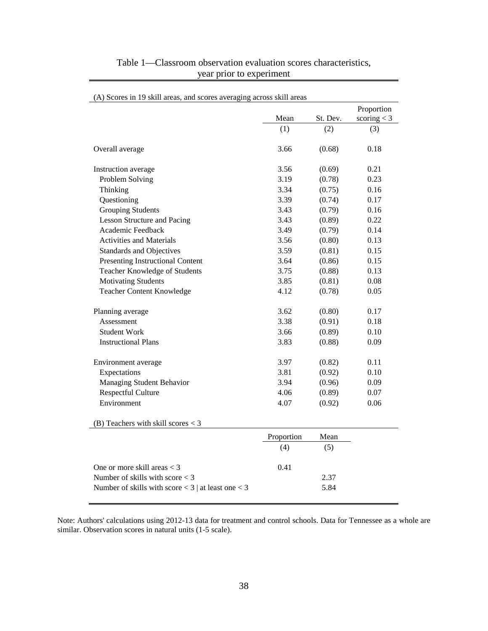|                                                        |            |          | Proportion    |
|--------------------------------------------------------|------------|----------|---------------|
|                                                        | Mean       | St. Dev. | scoring $<$ 3 |
|                                                        | (1)        | (2)      | (3)           |
| Overall average                                        | 3.66       | (0.68)   | 0.18          |
| Instruction average                                    | 3.56       | (0.69)   | 0.21          |
| Problem Solving                                        | 3.19       | (0.78)   | 0.23          |
| Thinking                                               | 3.34       | (0.75)   | 0.16          |
| Questioning                                            | 3.39       | (0.74)   | 0.17          |
| <b>Grouping Students</b>                               | 3.43       | (0.79)   | 0.16          |
| <b>Lesson Structure and Pacing</b>                     | 3.43       | (0.89)   | 0.22          |
| Academic Feedback                                      | 3.49       | (0.79)   | 0.14          |
| <b>Activities and Materials</b>                        | 3.56       | (0.80)   | 0.13          |
| <b>Standards and Objectives</b>                        | 3.59       | (0.81)   | 0.15          |
| Presenting Instructional Content                       | 3.64       | (0.86)   | 0.15          |
| Teacher Knowledge of Students                          | 3.75       | (0.88)   | 0.13          |
| <b>Motivating Students</b>                             | 3.85       | (0.81)   | 0.08          |
| <b>Teacher Content Knowledge</b>                       | 4.12       | (0.78)   | 0.05          |
| Planning average                                       | 3.62       | (0.80)   | 0.17          |
| Assessment                                             | 3.38       | (0.91)   | 0.18          |
| <b>Student Work</b>                                    | 3.66       | (0.89)   | 0.10          |
| <b>Instructional Plans</b>                             | 3.83       | (0.88)   | 0.09          |
| Environment average                                    | 3.97       | (0.82)   | 0.11          |
| Expectations                                           | 3.81       | (0.92)   | 0.10          |
| Managing Student Behavior                              | 3.94       | (0.96)   | 0.09          |
| <b>Respectful Culture</b>                              | 4.06       | (0.89)   | 0.07          |
| Environment                                            | 4.07       | (0.92)   | 0.06          |
| (B) Teachers with skill scores $<$ 3                   |            |          |               |
|                                                        | Proportion | Mean     |               |
|                                                        | (4)        | (5)      |               |
| One or more skill areas $<$ 3                          | 0.41       |          |               |
| Number of skills with score $<$ 3                      |            | 2.37     |               |
| Number of skills with score $<$ 3   at least one $<$ 3 |            | 5.84     |               |

# Table 1—Classroom observation evaluation scores characteristics, year prior to experiment

Note: Authors' calculations using 2012-13 data for treatment and control schools. Data for Tennessee as a whole are similar. Observation scores in natural units (1-5 scale).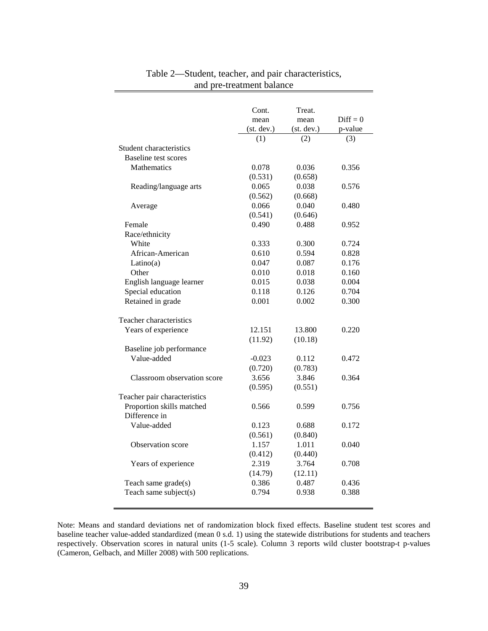|                              | Cont.              | Treat.             |                       |
|------------------------------|--------------------|--------------------|-----------------------|
|                              | mean<br>(st. dev.) | mean<br>(st. dev.) | $Diff = 0$<br>p-value |
|                              | (1)                | (2)                | (3)                   |
| Student characteristics      |                    |                    |                       |
| <b>Baseline test scores</b>  |                    |                    |                       |
| <b>Mathematics</b>           | 0.078              | 0.036              | 0.356                 |
|                              | (0.531)            | (0.658)            |                       |
| Reading/language arts        | 0.065              | 0.038              | 0.576                 |
|                              | (0.562)            | (0.668)            |                       |
| Average                      | 0.066              | 0.040              | 0.480                 |
|                              | (0.541)            | (0.646)            |                       |
| Female                       | 0.490              | 0.488              | 0.952                 |
| Race/ethnicity               |                    |                    |                       |
| White                        | 0.333              | 0.300              | 0.724                 |
| African-American             | 0.610              | 0.594              | 0.828                 |
| Latino(a)                    | 0.047              | 0.087              | 0.176                 |
| Other                        | 0.010              | 0.018              | 0.160                 |
| English language learner     | 0.015              | 0.038              | 0.004                 |
| Special education            | 0.118              | 0.126              | 0.704                 |
| Retained in grade            | 0.001              | 0.002              | 0.300                 |
| Teacher characteristics      |                    |                    |                       |
| Years of experience          | 12.151             | 13.800             | 0.220                 |
|                              | (11.92)            | (10.18)            |                       |
| Baseline job performance     |                    |                    |                       |
| Value-added                  | $-0.023$           | 0.112              | 0.472                 |
|                              | (0.720)            | (0.783)            |                       |
| Classroom observation score  | 3.656              | 3.846              | 0.364                 |
|                              | (0.595)            | (0.551)            |                       |
| Teacher pair characteristics |                    |                    |                       |
| Proportion skills matched    | 0.566              | 0.599              | 0.756                 |
| Difference in                |                    |                    |                       |
| Value-added                  | 0.123              | 0.688              | 0.172                 |
|                              | (0.561)            | (0.840)            |                       |
| Observation score            | 1.157              | 1.011              | 0.040                 |
|                              | (0.412)            | (0.440)            |                       |
| Years of experience          | 2.319              | 3.764              | 0.708                 |
|                              | (14.79)            | (12.11)            |                       |
| Teach same grade(s)          | 0.386              | 0.487              | 0.436                 |
| Teach same subject(s)        | 0.794              | 0.938              | 0.388                 |
|                              |                    |                    |                       |

# Table 2—Student, teacher, and pair characteristics, and pre-treatment balance

Note: Means and standard deviations net of randomization block fixed effects. Baseline student test scores and baseline teacher value-added standardized (mean 0 s.d. 1) using the statewide distributions for students and teachers respectively. Observation scores in natural units (1-5 scale). Column 3 reports wild cluster bootstrap-t p-values (Cameron, Gelbach, and Miller 2008) with 500 replications.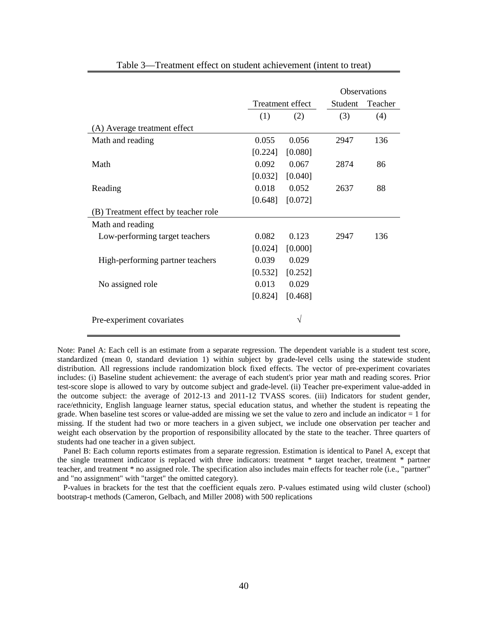|                                      |         |                  |         | <b>Observations</b> |
|--------------------------------------|---------|------------------|---------|---------------------|
|                                      |         | Treatment effect | Student | Teacher             |
|                                      | (1)     | (2)              | (3)     | (4)                 |
| (A) Average treatment effect         |         |                  |         |                     |
| Math and reading                     | 0.055   | 0.056            | 2947    | 136                 |
|                                      | [0.224] | [0.080]          |         |                     |
| Math                                 | 0.092   | 0.067            | 2874    | 86                  |
|                                      | [0.032] | [0.040]          |         |                     |
| Reading                              | 0.018   | 0.052            | 2637    | 88                  |
|                                      | [0.648] | [0.072]          |         |                     |
| (B) Treatment effect by teacher role |         |                  |         |                     |
| Math and reading                     |         |                  |         |                     |
| Low-performing target teachers       | 0.082   | 0.123            | 2947    | 136                 |
|                                      | [0.024] | [0.000]          |         |                     |
| High-performing partner teachers     | 0.039   | 0.029            |         |                     |
|                                      | [0.532] | [0.252]          |         |                     |
| No assigned role                     | 0.013   | 0.029            |         |                     |
|                                      | [0.824] | [0.468]          |         |                     |
| Pre-experiment covariates            |         | V                |         |                     |

Table 3—Treatment effect on student achievement (intent to treat)

Note: Panel A: Each cell is an estimate from a separate regression. The dependent variable is a student test score, standardized (mean 0, standard deviation 1) within subject by grade-level cells using the statewide student distribution. All regressions include randomization block fixed effects. The vector of pre-experiment covariates includes: (i) Baseline student achievement: the average of each student's prior year math and reading scores. Prior test-score slope is allowed to vary by outcome subject and grade-level. (ii) Teacher pre-experiment value-added in the outcome subject: the average of 2012-13 and 2011-12 TVASS scores. (iii) Indicators for student gender, race/ethnicity, English language learner status, special education status, and whether the student is repeating the grade. When baseline test scores or value-added are missing we set the value to zero and include an indicator = 1 for missing. If the student had two or more teachers in a given subject, we include one observation per teacher and weight each observation by the proportion of responsibility allocated by the state to the teacher. Three quarters of students had one teacher in a given subject.

 Panel B: Each column reports estimates from a separate regression. Estimation is identical to Panel A, except that the single treatment indicator is replaced with three indicators: treatment \* target teacher, treatment \* partner teacher, and treatment \* no assigned role. The specification also includes main effects for teacher role (i.e., "partner" and "no assignment" with "target" the omitted category).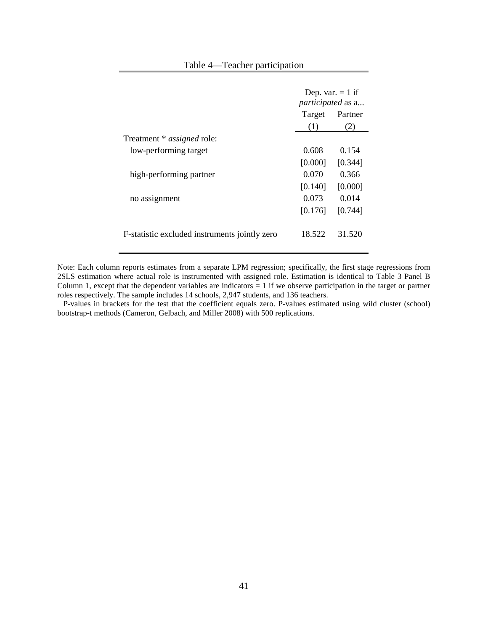|                                               | <i>participated</i> as a<br>Target | Dep. var. $= 1$ if<br>Partner |
|-----------------------------------------------|------------------------------------|-------------------------------|
|                                               | (1)                                | (2)                           |
| Treatment * <i>assigned</i> role:             |                                    |                               |
| low-performing target                         | 0.608                              | 0.154                         |
|                                               | [0.000]                            | [0.344]                       |
| high-performing partner                       | 0.070                              | 0.366                         |
|                                               | [0.140]                            | [0.000]                       |
| no assignment                                 | 0.073                              | 0.014                         |
|                                               | [0.176]                            | [0.744]                       |
| F-statistic excluded instruments jointly zero | 18.522                             | 31.520                        |

Table 4—Teacher participation

Note: Each column reports estimates from a separate LPM regression; specifically, the first stage regressions from 2SLS estimation where actual role is instrumented with assigned role. Estimation is identical to Table 3 Panel B Column 1, except that the dependent variables are indicators  $= 1$  if we observe participation in the target or partner roles respectively. The sample includes 14 schools, 2,947 students, and 136 teachers.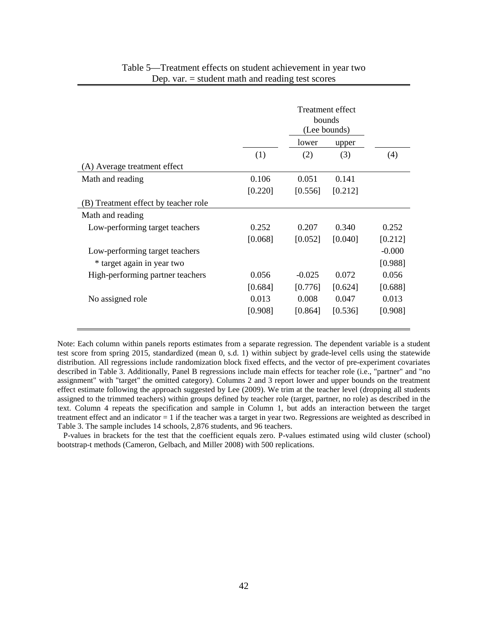|                                      |         |          | Treatment effect<br>bounds<br>(Lee bounds) |          |
|--------------------------------------|---------|----------|--------------------------------------------|----------|
|                                      |         | lower    | upper                                      |          |
|                                      | (1)     | (2)      | (3)                                        | (4)      |
| (A) Average treatment effect         |         |          |                                            |          |
| Math and reading                     | 0.106   | 0.051    | 0.141                                      |          |
|                                      | [0.220] | [0.556]  | [0.212]                                    |          |
| (B) Treatment effect by teacher role |         |          |                                            |          |
| Math and reading                     |         |          |                                            |          |
| Low-performing target teachers       | 0.252   | 0.207    | 0.340                                      | 0.252    |
|                                      | [0.068] | [0.052]  | [0.040]                                    | [0.212]  |
| Low-performing target teachers       |         |          |                                            | $-0.000$ |
| * target again in year two           |         |          |                                            | [0.988]  |
| High-performing partner teachers     | 0.056   | $-0.025$ | 0.072                                      | 0.056    |
|                                      | [0.684] | [0.776]  | [0.624]                                    | [0.688]  |
| No assigned role                     | 0.013   | 0.008    | 0.047                                      | 0.013    |
|                                      | [0.908] | [0.864]  | [0.536]                                    | [0.908]  |
|                                      |         |          |                                            |          |

### Table 5—Treatment effects on student achievement in year two Dep. var. = student math and reading test scores

Note: Each column within panels reports estimates from a separate regression. The dependent variable is a student test score from spring 2015, standardized (mean 0, s.d. 1) within subject by grade-level cells using the statewide distribution. All regressions include randomization block fixed effects, and the vector of pre-experiment covariates described in Table 3. Additionally, Panel B regressions include main effects for teacher role (i.e., "partner" and "no assignment" with "target" the omitted category). Columns 2 and 3 report lower and upper bounds on the treatment effect estimate following the approach suggested by Lee (2009). We trim at the teacher level (dropping all students assigned to the trimmed teachers) within groups defined by teacher role (target, partner, no role) as described in the text. Column 4 repeats the specification and sample in Column 1, but adds an interaction between the target treatment effect and an indicator = 1 if the teacher was a target in year two. Regressions are weighted as described in Table 3. The sample includes 14 schools, 2,876 students, and 96 teachers.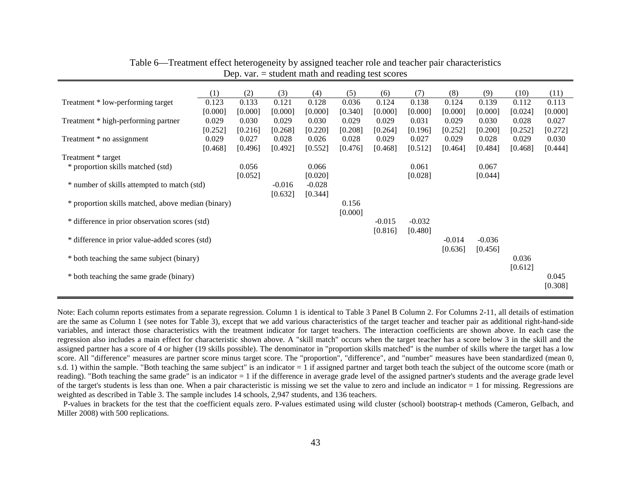|                                                    | (1)     | (2)     | (3)      | (4)      | (5)     | (6)      | (7)      | (8)      | (9)      | (10)    | (11)    |
|----------------------------------------------------|---------|---------|----------|----------|---------|----------|----------|----------|----------|---------|---------|
| Treatment * low-performing target                  | 0.123   | 0.133   | 0.121    | 0.128    | 0.036   | 0.124    | 0.138    | 0.124    | 0.139    | 0.112   | 0.113   |
|                                                    | [0.000] | [0.000] | [0.000]  | [0.000]  | [0.340] | [0.000]  | [0.000]  | [0.000]  | [0.000]  | [0.024] | [0.000] |
|                                                    |         |         |          |          |         |          |          |          |          |         |         |
| Treatment * high-performing partner                | 0.029   | 0.030   | 0.029    | 0.030    | 0.029   | 0.029    | 0.031    | 0.029    | 0.030    | 0.028   | 0.027   |
|                                                    | [0.252] | [0.216] | [0.268]  | [0.220]  | [0.208] | [0.264]  | [0.196]  | [0.252]  | [0.200]  | [0.252] | [0.272] |
| Treatment * no assignment                          | 0.029   | 0.027   | 0.028    | 0.026    | 0.028   | 0.029    | 0.027    | 0.029    | 0.028    | 0.029   | 0.030   |
|                                                    | [0.468] | [0.496] | [0.492]  | [0.552]  | [0.476] | [0.468]  | [0.512]  | [0.464]  | [0.484]  | [0.468] | [0.444] |
| Treatment * target                                 |         |         |          |          |         |          |          |          |          |         |         |
| * proportion skills matched (std)                  |         | 0.056   |          | 0.066    |         |          | 0.061    |          | 0.067    |         |         |
|                                                    |         | [0.052] |          | [0.020]  |         |          | [0.028]  |          | [0.044]  |         |         |
| * number of skills attempted to match (std)        |         |         | $-0.016$ | $-0.028$ |         |          |          |          |          |         |         |
|                                                    |         |         |          |          |         |          |          |          |          |         |         |
|                                                    |         |         | [0.632]  | [0.344]  |         |          |          |          |          |         |         |
| * proportion skills matched, above median (binary) |         |         |          |          | 0.156   |          |          |          |          |         |         |
|                                                    |         |         |          |          | [0.000] |          |          |          |          |         |         |
| * difference in prior observation scores (std)     |         |         |          |          |         | $-0.015$ | $-0.032$ |          |          |         |         |
|                                                    |         |         |          |          |         | [0.816]  | [0.480]  |          |          |         |         |
| * difference in prior value-added scores (std)     |         |         |          |          |         |          |          | $-0.014$ | $-0.036$ |         |         |
|                                                    |         |         |          |          |         |          |          | [0.636]  | [0.456]  |         |         |
| * both teaching the same subject (binary)          |         |         |          |          |         |          |          |          |          | 0.036   |         |
|                                                    |         |         |          |          |         |          |          |          |          |         |         |
|                                                    |         |         |          |          |         |          |          |          |          | [0.612] |         |
| * both teaching the same grade (binary)            |         |         |          |          |         |          |          |          |          |         | 0.045   |
|                                                    |         |         |          |          |         |          |          |          |          |         | [0.308] |
|                                                    |         |         |          |          |         |          |          |          |          |         |         |

Table 6—Treatment effect heterogeneity by assigned teacher role and teacher pair characteristics Dep. var.  $=$  student math and reading test scores

Note: Each column reports estimates from a separate regression. Column 1 is identical to Table 3 Panel B Column 2. For Columns 2-11, all details of estimation are the same as Column 1 (see notes for Table 3), except that we add various characteristics of the target teacher and teacher pair as additional right-hand-side variables, and interact those characteristics with the treatment indicator for target teachers. The interaction coefficients are shown above. In each case the regression also includes a main effect for characteristic shown above. A "skill match" occurs when the target teacher has a score below 3 in the skill and the assigned partner has a score of 4 or higher (19 skills possible). The denominator in "proportion skills matched" is the number of skills where the target has a low score. All "difference" measures are partner score minus target score. The "proportion", "difference", and "number" measures have been standardized (mean 0, s.d. 1) within the sample. "Both teaching the same subject" is an indicator = 1 if assigned partner and target both teach the subject of the outcome score (math or reading). "Both teaching the same grade" is an indicator = 1 if the difference in average grade level of the assigned partner's students and the average grade level of the target's students is less than one. When a pair characteristic is missing we set the value to zero and include an indicator  $= 1$  for missing. Regressions are weighted as described in Table 3. The sample includes 14 schools, 2,947 students, and 136 teachers.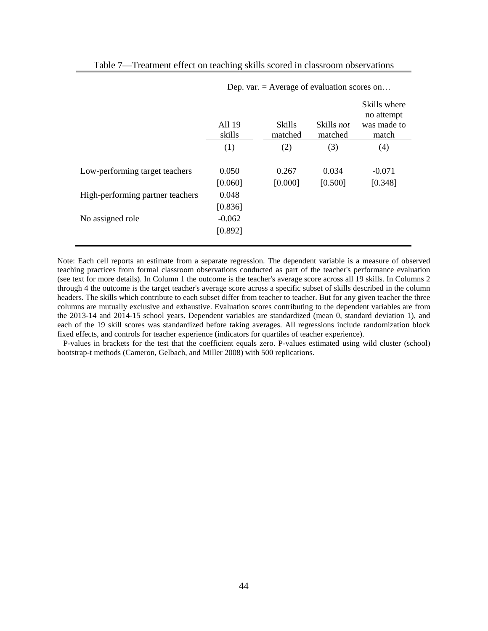|                                  | All 19<br>skills    | <b>Skills</b><br>matched | Skills not<br>matched | Skills where<br>no attempt<br>was made to<br>match |
|----------------------------------|---------------------|--------------------------|-----------------------|----------------------------------------------------|
|                                  | (1)                 | (2)                      | (3)                   | (4)                                                |
| Low-performing target teachers   | 0.050<br>[0.060]    | 0.267<br>[0.000]         | 0.034<br>[0.500]      | $-0.071$<br>[0.348]                                |
| High-performing partner teachers | 0.048<br>[0.836]    |                          |                       |                                                    |
| No assigned role                 | $-0.062$<br>[0.892] |                          |                       |                                                    |

Table 7—Treatment effect on teaching skills scored in classroom observations

Dep. var. = Average of evaluation scores on…

Note: Each cell reports an estimate from a separate regression. The dependent variable is a measure of observed teaching practices from formal classroom observations conducted as part of the teacher's performance evaluation (see text for more details). In Column 1 the outcome is the teacher's average score across all 19 skills. In Columns 2 through 4 the outcome is the target teacher's average score across a specific subset of skills described in the column headers. The skills which contribute to each subset differ from teacher to teacher. But for any given teacher the three columns are mutually exclusive and exhaustive. Evaluation scores contributing to the dependent variables are from the 2013-14 and 2014-15 school years. Dependent variables are standardized (mean 0, standard deviation 1), and each of the 19 skill scores was standardized before taking averages. All regressions include randomization block fixed effects, and controls for teacher experience (indicators for quartiles of teacher experience).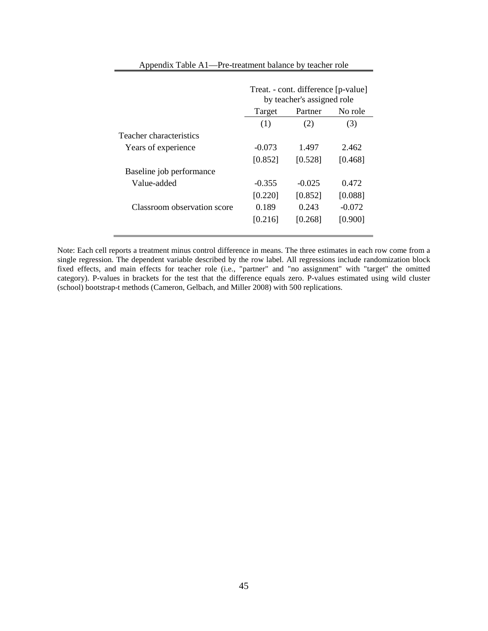|                             | Treat. - cont. difference [p-value]<br>by teacher's assigned role |          |          |  |  |  |
|-----------------------------|-------------------------------------------------------------------|----------|----------|--|--|--|
|                             | Target                                                            | Partner  | No role  |  |  |  |
|                             | (1)                                                               | (2)      | (3)      |  |  |  |
| Teacher characteristics     |                                                                   |          |          |  |  |  |
| Years of experience         | $-0.073$                                                          | 1.497    | 2.462    |  |  |  |
|                             | [0.852]                                                           | [0.528]  | [0.468]  |  |  |  |
| Baseline job performance    |                                                                   |          |          |  |  |  |
| Value-added                 | $-0.355$                                                          | $-0.025$ | 0.472    |  |  |  |
|                             | [0.220]                                                           | [0.852]  | [0.088]  |  |  |  |
| Classroom observation score | 0.189                                                             | 0.243    | $-0.072$ |  |  |  |
|                             | [0.216]                                                           | [0.268]  | [0.900]  |  |  |  |
|                             |                                                                   |          |          |  |  |  |

#### Appendix Table A1—Pre-treatment balance by teacher role

Note: Each cell reports a treatment minus control difference in means. The three estimates in each row come from a single regression. The dependent variable described by the row label. All regressions include randomization block fixed effects, and main effects for teacher role (i.e., "partner" and "no assignment" with "target" the omitted category). P-values in brackets for the test that the difference equals zero. P-values estimated using wild cluster (school) bootstrap-t methods (Cameron, Gelbach, and Miller 2008) with 500 replications.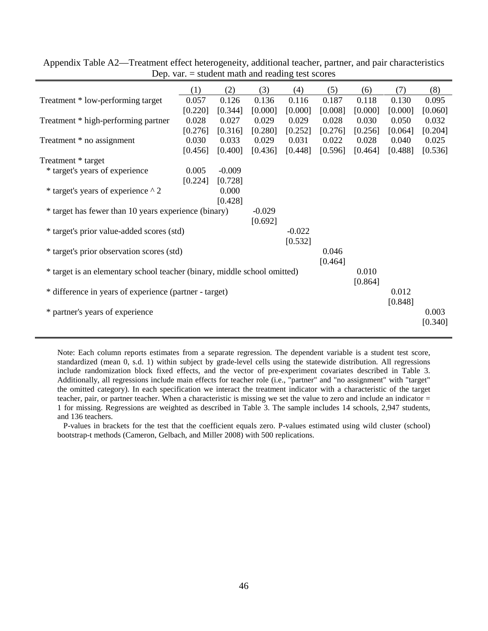|                                                                          | (1)     | (2)      | (3)      | (4)      | (5)     | (6)     | (7)     | (8)     |
|--------------------------------------------------------------------------|---------|----------|----------|----------|---------|---------|---------|---------|
| Treatment * low-performing target                                        | 0.057   | 0.126    | 0.136    | 0.116    | 0.187   | 0.118   | 0.130   | 0.095   |
|                                                                          | [0.220] | [0.344]  | [0.000]  | [0.000]  | [0.008] | [0.000] | [0.000] | [0.060] |
| Treatment * high-performing partner                                      | 0.028   | 0.027    | 0.029    | 0.029    | 0.028   | 0.030   | 0.050   | 0.032   |
|                                                                          | [0.276] | [0.316]  | [0.280]  | [0.252]  | [0.276] | [0.256] | [0.064] | [0.204] |
| Treatment * no assignment                                                | 0.030   | 0.033    | 0.029    | 0.031    | 0.022   | 0.028   | 0.040   | 0.025   |
|                                                                          | [0.456] | [0.400]  | [0.436]  | [0.448]  | [0.596] | [0.464] | [0.488] | [0.536] |
| Treatment * target                                                       |         |          |          |          |         |         |         |         |
| * target's years of experience                                           | 0.005   | $-0.009$ |          |          |         |         |         |         |
|                                                                          | [0.224] | [0.728]  |          |          |         |         |         |         |
| * target's years of experience ^ 2                                       |         | 0.000    |          |          |         |         |         |         |
|                                                                          |         | [0.428]  |          |          |         |         |         |         |
| * target has fewer than 10 years experience (binary)                     |         |          | $-0.029$ |          |         |         |         |         |
|                                                                          |         |          | [0.692]  |          |         |         |         |         |
| * target's prior value-added scores (std)                                |         |          |          | $-0.022$ |         |         |         |         |
|                                                                          |         |          |          | [0.532]  |         |         |         |         |
| * target's prior observation scores (std)                                |         |          |          |          | 0.046   |         |         |         |
|                                                                          |         |          |          |          | [0.464] |         |         |         |
| * target is an elementary school teacher (binary, middle school omitted) |         |          |          |          |         | 0.010   |         |         |
|                                                                          |         |          |          |          |         | [0.864] |         |         |
| * difference in years of experience (partner - target)                   |         |          |          |          |         |         | 0.012   |         |
|                                                                          |         |          |          |          |         |         | [0.848] |         |
| * partner's years of experience                                          |         |          |          |          |         |         |         | 0.003   |
|                                                                          |         |          |          |          |         |         |         | [0.340] |
|                                                                          |         |          |          |          |         |         |         |         |

Appendix Table A2—Treatment effect heterogeneity, additional teacher, partner, and pair characteristics Dep. var. = student math and reading test scores

 $\blacksquare$ 

Note: Each column reports estimates from a separate regression. The dependent variable is a student test score, standardized (mean 0, s.d. 1) within subject by grade-level cells using the statewide distribution. All regressions include randomization block fixed effects, and the vector of pre-experiment covariates described in Table 3. Additionally, all regressions include main effects for teacher role (i.e., "partner" and "no assignment" with "target" the omitted category). In each specification we interact the treatment indicator with a characteristic of the target teacher, pair, or partner teacher. When a characteristic is missing we set the value to zero and include an indicator = 1 for missing. Regressions are weighted as described in Table 3. The sample includes 14 schools, 2,947 students, and 136 teachers.